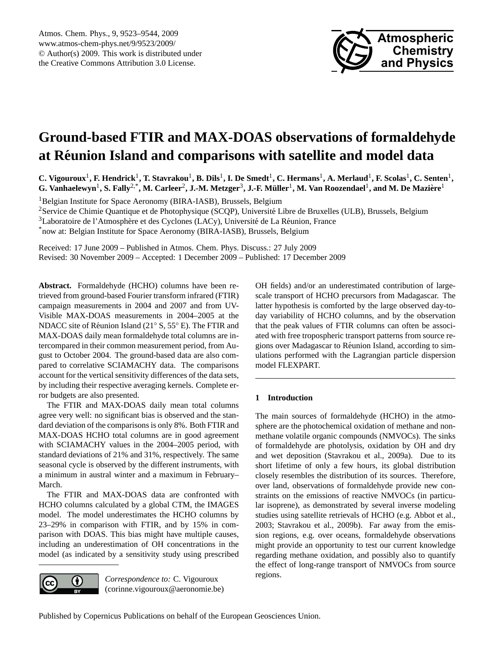

# <span id="page-0-0"></span>**Ground-based FTIR and MAX-DOAS observations of formaldehyde at Reunion Island and comparisons with satellite and model data ´**

 $C$ . Vigouroux<sup>1</sup>, F. Hendrick<sup>1</sup>, T. Stavrakou<sup>1</sup>, B. Dils<sup>1</sup>, I. De Smedt<sup>1</sup>, C. Hermans<sup>1</sup>, A. Merlaud<sup>1</sup>, F. Scolas<sup>1</sup>, C. Senten<sup>1</sup>,  $G$ . Vanhaelewyn<sup>1</sup>, S. Fally<sup>2,\*</sup>, M. Carleer<sup>2</sup>, J.-M. Metzger<sup>3</sup>, J.-F. Müller<sup>1</sup>, M. Van Roozendael<sup>1</sup>, and M. De Mazière<sup>1</sup>

<sup>1</sup>Belgian Institute for Space Aeronomy (BIRA-IASB), Brussels, Belgium

<sup>2</sup>Service de Chimie Quantique et de Photophysique (SCQP), Université Libre de Bruxelles (ULB), Brussels, Belgium

 $3$ Laboratoire de l'Atmosphère et des Cyclones (LACy), Université de La Réunion, France

\*now at: Belgian Institute for Space Aeronomy (BIRA-IASB), Brussels, Belgium

Received: 17 June 2009 – Published in Atmos. Chem. Phys. Discuss.: 27 July 2009 Revised: 30 November 2009 – Accepted: 1 December 2009 – Published: 17 December 2009

**Abstract.** Formaldehyde (HCHO) columns have been retrieved from ground-based Fourier transform infrared (FTIR) campaign measurements in 2004 and 2007 and from UV-Visible MAX-DOAS measurements in 2004–2005 at the NDACC site of Réunion Island (21° S, 55° E). The FTIR and MAX-DOAS daily mean formaldehyde total columns are intercompared in their common measurement period, from August to October 2004. The ground-based data are also compared to correlative SCIAMACHY data. The comparisons account for the vertical sensitivity differences of the data sets, by including their respective averaging kernels. Complete error budgets are also presented.

The FTIR and MAX-DOAS daily mean total columns agree very well: no significant bias is observed and the standard deviation of the comparisons is only 8%. Both FTIR and MAX-DOAS HCHO total columns are in good agreement with SCIAMACHY values in the 2004–2005 period, with standard deviations of 21% and 31%, respectively. The same seasonal cycle is observed by the different instruments, with a minimum in austral winter and a maximum in February– March.

The FTIR and MAX-DOAS data are confronted with HCHO columns calculated by a global CTM, the IMAGES model. The model underestimates the HCHO columns by 23–29% in comparison with FTIR, and by 15% in comparison with DOAS. This bias might have multiple causes, including an underestimation of OH concentrations in the model (as indicated by a sensitivity study using prescribed



*Correspondence to:* C. Vigouroux (corinne.vigouroux@aeronomie.be) OH fields) and/or an underestimated contribution of largescale transport of HCHO precursors from Madagascar. The latter hypothesis is comforted by the large observed day-today variability of HCHO columns, and by the observation that the peak values of FTIR columns can often be associated with free tropospheric transport patterns from source regions over Madagascar to Réunion Island, according to simulations performed with the Lagrangian particle dispersion model FLEXPART.

# **1 Introduction**

The main sources of formaldehyde (HCHO) in the atmosphere are the photochemical oxidation of methane and nonmethane volatile organic compounds (NMVOCs). The sinks of formaldehyde are photolysis, oxidation by OH and dry and wet deposition [\(Stavrakou et al.,](#page-20-0) [2009a\)](#page-20-0). Due to its short lifetime of only a few hours, its global distribution closely resembles the distribution of its sources. Therefore, over land, observations of formaldehyde provide new constraints on the emissions of reactive NMVOCs (in particular isoprene), as demonstrated by several inverse modeling studies using satellite retrievals of HCHO (e.g. [Abbot et al.,](#page-18-0) [2003;](#page-18-0) [Stavrakou et al.,](#page-20-1) [2009b\)](#page-20-1). Far away from the emission regions, e.g. over oceans, formaldehyde observations might provide an opportunity to test our current knowledge regarding methane oxidation, and possibly also to quantify the effect of long-range transport of NMVOCs from source regions.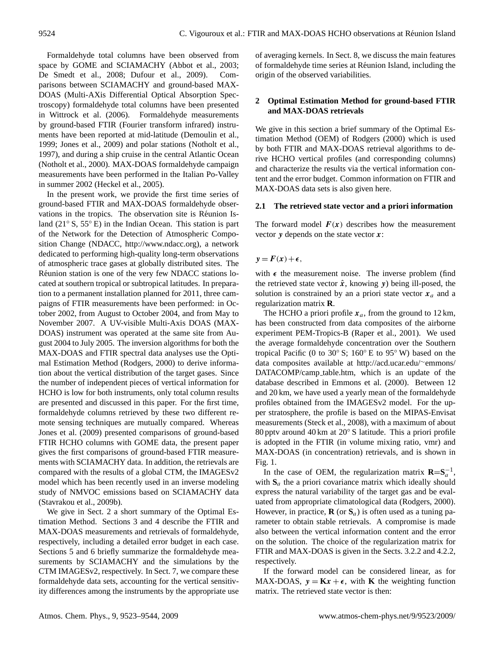Formaldehyde total columns have been observed from space by GOME and SCIAMACHY [\(Abbot et al.,](#page-18-0) [2003;](#page-18-0) [De Smedt et al.,](#page-19-0) [2008;](#page-19-0) [Dufour et al.,](#page-19-1) [2009\)](#page-19-1). Comparisons between SCIAMACHY and ground-based MAX-DOAS (Multi-AXis Differential Optical Absorption Spectroscopy) formaldehyde total columns have been presented in [Wittrock et al.](#page-21-0) [\(2006\)](#page-21-0). Formaldehyde measurements by ground-based FTIR (Fourier transform infrared) instruments have been reported at mid-latitude [\(Demoulin et al.,](#page-18-1) [1999;](#page-18-1) [Jones et al.,](#page-19-2) [2009\)](#page-19-2) and polar stations [\(Notholt et al.,](#page-20-2) [1997\)](#page-20-2), and during a ship cruise in the central Atlantic Ocean [\(Notholt et al.,](#page-20-3) [2000\)](#page-20-3). MAX-DOAS formaldehyde campaign measurements have been performed in the Italian Po-Valley in summer 2002 [\(Heckel et al.,](#page-19-3) [2005\)](#page-19-3).

In the present work, we provide the first time series of ground-based FTIR and MAX-DOAS formaldehyde observations in the tropics. The observation site is Réunion Island (21◦ S, 55◦ E) in the Indian Ocean. This station is part of the Network for the Detection of Atmospheric Composition Change (NDACC, [http://www.ndacc.org\)](http://www.ndacc.org), a network dedicated to performing high-quality long-term observations of atmospheric trace gases at globally distributed sites. The Réunion station is one of the very few NDACC stations located at southern tropical or subtropical latitudes. In preparation to a permanent installation planned for 2011, three campaigns of FTIR measurements have been performed: in October 2002, from August to October 2004, and from May to November 2007. A UV-visible Multi-Axis DOAS (MAX-DOAS) instrument was operated at the same site from August 2004 to July 2005. The inversion algorithms for both the MAX-DOAS and FTIR spectral data analyses use the Optimal Estimation Method [\(Rodgers,](#page-20-4) [2000\)](#page-20-4) to derive information about the vertical distribution of the target gases. Since the number of independent pieces of vertical information for HCHO is low for both instruments, only total column results are presented and discussed in this paper. For the first time, formaldehyde columns retrieved by these two different remote sensing techniques are mutually compared. Whereas [Jones et al.](#page-19-2) [\(2009\)](#page-19-2) presented comparisons of ground-based FTIR HCHO columns with GOME data, the present paper gives the first comparisons of ground-based FTIR measurements with SCIAMACHY data. In addition, the retrievals are compared with the results of a global CTM, the IMAGESv2 model which has been recently used in an inverse modeling study of NMVOC emissions based on SCIAMACHY data [\(Stavrakou et al.,](#page-20-1) [2009b\)](#page-20-1).

We give in Sect. 2 a short summary of the Optimal Estimation Method. Sections 3 and 4 describe the FTIR and MAX-DOAS measurements and retrievals of formaldehyde, respectively, including a detailed error budget in each case. Sections 5 and 6 briefly summarize the formaldehyde measurements by SCIAMACHY and the simulations by the CTM IMAGESv2, respectively. In Sect. 7, we compare these formaldehyde data sets, accounting for the vertical sensitivity differences among the instruments by the appropriate use of averaging kernels. In Sect. 8, we discuss the main features of formaldehyde time series at Reunion Island, including the ´ origin of the observed variabilities.

# <span id="page-1-0"></span>**2 Optimal Estimation Method for ground-based FTIR and MAX-DOAS retrievals**

We give in this section a brief summary of the Optimal Estimation Method (OEM) of [Rodgers](#page-20-4) [\(2000\)](#page-20-4) which is used by both FTIR and MAX-DOAS retrieval algorithms to derive HCHO vertical profiles (and corresponding columns) and characterize the results via the vertical information content and the error budget. Common information on FTIR and MAX-DOAS data sets is also given here.

## **2.1 The retrieved state vector and a priori information**

The forward model  $F(x)$  describes how the measurement vector  $y$  depends on the state vector  $x$ :

# $y = F(x) + \epsilon$ ,

with  $\epsilon$  the measurement noise. The inverse problem (find the retrieved state vector  $\hat{x}$ , knowing y) being ill-posed, the solution is constrained by an a priori state vector  $x_a$  and a regularization matrix **R**.

The HCHO a priori profile  $x_a$ , from the ground to 12 km, has been constructed from data composites of the airborne experiment PEM-Tropics-B [\(Raper et al.,](#page-20-5) [2001\)](#page-20-5). We used the average formaldehyde concentration over the Southern tropical Pacific (0 to 30 $\degree$  S; 160 $\degree$  E to 95 $\degree$  W) based on the data composites available at [http://acd.ucar.edu/](http://acd.ucar.edu/~emmons/DATACOMP/camp_table.htm)∼emmons/ [DATACOMP/camp](http://acd.ucar.edu/~emmons/DATACOMP/camp_table.htm) table.htm, which is an update of the database described in [Emmons et al.](#page-19-4) [\(2000\)](#page-19-4). Between 12 and 20 km, we have used a yearly mean of the formaldehyde profiles obtained from the IMAGESv2 model. For the upper stratosphere, the profile is based on the MIPAS-Envisat measurements [\(Steck et al.,](#page-21-1) [2008\)](#page-21-1), with a maximum of about 80 pptv around 40 km at 20◦ S latitude. This a priori profile is adopted in the FTIR (in volume mixing ratio, vmr) and MAX-DOAS (in concentration) retrievals, and is shown in Fig. [1.](#page-2-0)

In the case of OEM, the regularization matrix  $\mathbf{R} = \mathbf{S}_a^{-1}$ , with  $S_a$  the a priori covariance matrix which ideally should express the natural variability of the target gas and be evaluated from appropriate climatological data [\(Rodgers,](#page-20-4) [2000\)](#page-20-4). However, in practice,  $\mathbf{R}$  (or  $\mathbf{S}_a$ ) is often used as a tuning parameter to obtain stable retrievals. A compromise is made also between the vertical information content and the error on the solution. The choice of the regularization matrix for FTIR and MAX-DOAS is given in the Sects. [3.2.2](#page-4-0) and [4.2.2,](#page-7-0) respectively.

If the forward model can be considered linear, as for MAX-DOAS,  $y = Kx + \epsilon$ , with **K** the weighting function matrix. The retrieved state vector is then: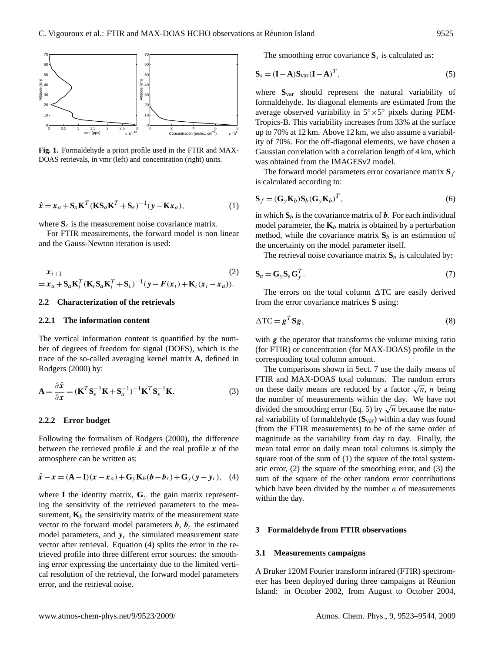

<span id="page-2-0"></span>**Fig. 1.** Formaldehyde a priori profile used in the FTIR and MAX-DOAS retrievals, in vmr (left) and concentration (right) units.

<span id="page-2-9"></span>
$$
\hat{x} = x_a + \mathbf{S}_a \mathbf{K}^T (\mathbf{K} \mathbf{S}_a \mathbf{K}^T + \mathbf{S}_\epsilon)^{-1} (\mathbf{y} - \mathbf{K} x_a),
$$
\n(1)

where  $S_{\epsilon}$  is the measurement noise covariance matrix.

For FTIR measurements, the forward model is non linear and the Gauss-Newton iteration is used:

<span id="page-2-3"></span>
$$
\begin{aligned} \n\mathbf{x}_{i+1} & \quad (2) \\ \n&= \mathbf{x}_a + \mathbf{S}_a \mathbf{K}_i^T (\mathbf{K}_i \mathbf{S}_a \mathbf{K}_i^T + \mathbf{S}_\epsilon)^{-1} (\mathbf{y} - \mathbf{F}(\mathbf{x}_i) + \mathbf{K}_i (\mathbf{x}_i - \mathbf{x}_a)). \n\end{aligned}
$$

#### **2.2 Characterization of the retrievals**

#### **2.2.1 The information content**

The vertical information content is quantified by the number of degrees of freedom for signal (DOFS), which is the trace of the so-called averaging kernel matrix **A**, defined in [Rodgers](#page-20-4) [\(2000\)](#page-20-4) by:

$$
\mathbf{A} = \frac{\partial \hat{\mathbf{x}}}{\partial \mathbf{x}} = (\mathbf{K}^T \mathbf{S}_{\epsilon}^{-1} \mathbf{K} + \mathbf{S}_a^{-1})^{-1} \mathbf{K}^T \mathbf{S}_{\epsilon}^{-1} \mathbf{K}.
$$
 (3)

#### <span id="page-2-6"></span>**2.2.2 Error budget**

Following the formalism of Rodgers (2000), the difference between the retrieved profile  $\hat{x}$  and the real profile x of the atmosphere can be written as:

<span id="page-2-1"></span>
$$
\hat{\mathbf{x}} - \mathbf{x} = (\mathbf{A} - \mathbf{I})(\mathbf{x} - \mathbf{x}_a) + \mathbf{G}_y \mathbf{K}_b (\mathbf{b} - \mathbf{b}_r) + \mathbf{G}_y (\mathbf{y} - \mathbf{y}_r), \quad (4)
$$

where **I** the identity matrix,  $\mathbf{G}_y$  the gain matrix representing the sensitivity of the retrieved parameters to the measurement,  $\mathbf{K}_b$  the sensitivity matrix of the measurement state vector to the forward model parameters  $\boldsymbol{b}$ ,  $\boldsymbol{b}_r$ , the estimated model parameters, and  $y_r$  the simulated measurement state vector after retrieval. Equation [\(4\)](#page-2-1) splits the error in the retrieved profile into three different error sources: the smoothing error expressing the uncertainty due to the limited vertical resolution of the retrieval, the forward model parameters error, and the retrieval noise.

The smoothing error covariance  $S_s$  is calculated as:

<span id="page-2-2"></span>
$$
\mathbf{S}_s = (\mathbf{I} - \mathbf{A}) \mathbf{S}_{var} (\mathbf{I} - \mathbf{A})^T, \tag{5}
$$

where **S**var should represent the natural variability of formaldehyde. Its diagonal elements are estimated from the average observed variability in 5◦×5 ◦ pixels during PEM-Tropics-B. This variability increases from 33% at the surface up to 70% at 12 km. Above 12 km, we also assume a variability of 70%. For the off-diagonal elements, we have chosen a Gaussian correlation with a correlation length of 4 km, which was obtained from the IMAGESv2 model.

The forward model parameters error covariance matrix  $S_f$ is calculated according to:

<span id="page-2-4"></span>
$$
\mathbf{S}_f = (\mathbf{G}_y \mathbf{K}_b) \mathbf{S}_b (\mathbf{G}_y \mathbf{K}_b)^T, \tag{6}
$$

in which  $S_b$  is the covariance matrix of  $b$ . For each individual model parameter, the  $\mathbf{K}_b$  matrix is obtained by a perturbation method, while the covariance matrix  $S_b$  is an estimation of the uncertainty on the model parameter itself.

The retrieval noise covariance matrix  $S_n$  is calculated by:

<span id="page-2-8"></span>
$$
\mathbf{S}_n = \mathbf{G}_y \mathbf{S}_\epsilon \mathbf{G}_y^T. \tag{7}
$$

The errors on the total column  $\Delta TC$  are easily derived from the error covariance matrices **S** using:

<span id="page-2-5"></span>
$$
\Delta \mathbf{TC} = \mathbf{g}^T \mathbf{S} \mathbf{g},\tag{8}
$$

with  $g$  the operator that transforms the volume mixing ratio (for FTIR) or concentration (for MAX-DOAS) profile in the corresponding total column amount.

The comparisons shown in Sect. [7](#page-10-0) use the daily means of FTIR and MAX-DOAS total columns. The random errors FIIR and MAX-DOAS total columns. The random errors<br>on these daily means are reduced by a factor  $\sqrt{n}$ , *n* being the number of measurements within the day. We have not the number of measurements within the day. We have not<br>divided the smoothing error (Eq. [5\)](#page-2-2) by  $\sqrt{n}$  because the natural variability of formaldehyde (**S**var) within a day was found (from the FTIR measurements) to be of the same order of magnitude as the variability from day to day. Finally, the mean total error on daily mean total columns is simply the square root of the sum of (1) the square of the total systematic error, (2) the square of the smoothing error, and (3) the sum of the square of the other random error contributions which have been divided by the number  $n$  of measurements within the day.

#### **3 Formaldehyde from FTIR observations**

#### <span id="page-2-7"></span>**3.1 Measurements campaigns**

A Bruker 120M Fourier transform infrared (FTIR) spectrometer has been deployed during three campaigns at Reunion ´ Island: in October 2002, from August to October 2004,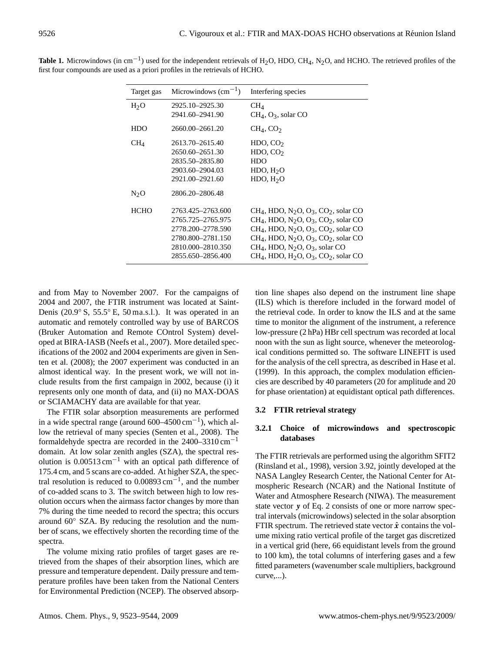| Target gas            | Microwindows $\text{(cm}^{-1})$                                                                                | Interfering species                                                                                                                                                                                                                                                                                                  |
|-----------------------|----------------------------------------------------------------------------------------------------------------|----------------------------------------------------------------------------------------------------------------------------------------------------------------------------------------------------------------------------------------------------------------------------------------------------------------------|
| H <sub>2</sub> O      | 2925.10-2925.30<br>2941.60-2941.90                                                                             | $CH_4$<br>$CH_4$ , O <sub>3</sub> , solar CO                                                                                                                                                                                                                                                                         |
| <b>HDO</b>            | 2660.00-2661.20                                                                                                | $CH_4$ , CO <sub>2</sub>                                                                                                                                                                                                                                                                                             |
| CH <sub>4</sub>       | 2613.70–2615.40<br>2650.60-2651.30<br>2835.50-2835.80<br>2903.60-2904.03<br>2921.00-2921.60<br>2806.20-2806.48 | HDO, CO <sub>2</sub><br>HDO, $CO2$<br><b>HDO</b><br>HDO, H <sub>2</sub> O<br>HDO, H <sub>2</sub> O                                                                                                                                                                                                                   |
| $N_2O$<br><b>HCHO</b> | 2763.425-2763.600<br>2765.725-2765.975<br>2778.200-2778.590<br>2780.800-2781.150                               | $CH4$ , HDO, N <sub>2</sub> O, O <sub>3</sub> , CO <sub>2</sub> , solar CO<br>$CH4$ , HDO, N <sub>2</sub> O, O <sub>3</sub> , CO <sub>2</sub> , solar CO<br>$CH4$ , HDO, N <sub>2</sub> O, O <sub>3</sub> , CO <sub>2</sub> , solar CO<br>$CH4$ , HDO, N <sub>2</sub> O, O <sub>3</sub> , CO <sub>2</sub> , solar CO |
|                       | 2810.000-2810.350<br>2855.650-2856.400                                                                         | $CH_4$ , HDO, N <sub>2</sub> O, O <sub>3</sub> , solar CO<br>$CH4$ , HDO, H <sub>2</sub> O, O <sub>3</sub> , CO <sub>2</sub> , solar CO                                                                                                                                                                              |

<span id="page-3-0"></span>**Table 1.** Microwindows (in cm<sup>-1</sup>) used for the independent retrievals of H<sub>2</sub>O, HDO, CH<sub>4</sub>, N<sub>2</sub>O, and HCHO. The retrieved profiles of the first four compounds are used as a priori profiles in the retrievals of HCHO.

and from May to November 2007. For the campaigns of 2004 and 2007, the FTIR instrument was located at Saint-Denis (20.9◦ S, 55.5◦ E, 50 ma.s.l.). It was operated in an automatic and remotely controlled way by use of BARCOS (Bruker Automation and Remote COntrol System) developed at BIRA-IASB [\(Neefs et al.,](#page-20-6) [2007\)](#page-20-6). More detailed specifications of the 2002 and 2004 experiments are given in [Sen](#page-20-7)[ten et al.](#page-20-7) [\(2008\)](#page-20-7); the 2007 experiment was conducted in an almost identical way. In the present work, we will not include results from the first campaign in 2002, because (i) it represents only one month of data, and (ii) no MAX-DOAS or SCIAMACHY data are available for that year.

The FTIR solar absorption measurements are performed in a wide spectral range (around  $600-4500$  cm<sup>-1</sup>), which allow the retrieval of many species [\(Senten et al.,](#page-20-7) [2008\)](#page-20-7). The formaldehyde spectra are recorded in the  $2400-3310 \text{ cm}^{-1}$ domain. At low solar zenith angles (SZA), the spectral resolution is  $0.00513 \text{ cm}^{-1}$  with an optical path difference of 175.4 cm, and 5 scans are co-added. At higher SZA, the spectral resolution is reduced to  $0.00893$  cm<sup>-1</sup>, and the number of co-added scans to 3. The switch between high to low resolution occurs when the airmass factor changes by more than 7% during the time needed to record the spectra; this occurs around 60◦ SZA. By reducing the resolution and the number of scans, we effectively shorten the recording time of the spectra.

The volume mixing ratio profiles of target gases are retrieved from the shapes of their absorption lines, which are pressure and temperature dependent. Daily pressure and temperature profiles have been taken from the National Centers for Environmental Prediction (NCEP). The observed absorption line shapes also depend on the instrument line shape (ILS) which is therefore included in the forward model of the retrieval code. In order to know the ILS and at the same time to monitor the alignment of the instrument, a reference low-pressure (2 hPa) HBr cell spectrum was recorded at local noon with the sun as light source, whenever the meteorological conditions permitted so. The software LINEFIT is used for the analysis of the cell sprectra, as described in [Hase et al.](#page-19-5) [\(1999\)](#page-19-5). In this approach, the complex modulation efficiencies are described by 40 parameters (20 for amplitude and 20 for phase orientation) at equidistant optical path differences.

# **3.2 FTIR retrieval strategy**

# **3.2.1 Choice of microwindows and spectroscopic databases**

The FTIR retrievals are performed using the algorithm SFIT2 [\(Rinsland et al.,](#page-20-8) [1998\)](#page-20-8), version 3.92, jointly developed at the NASA Langley Research Center, the National Center for Atmospheric Research (NCAR) and the National Institute of Water and Atmosphere Research (NIWA). The measurement state vector y of Eq. [2](#page-2-3) consists of one or more narrow spectral intervals (microwindows) selected in the solar absorption FTIR spectrum. The retrieved state vector  $\hat{x}$  contains the volume mixing ratio vertical profile of the target gas discretized in a vertical grid (here, 66 equidistant levels from the ground to 100 km), the total columns of interfering gases and a few fitted parameters (wavenumber scale multipliers, background curve,...).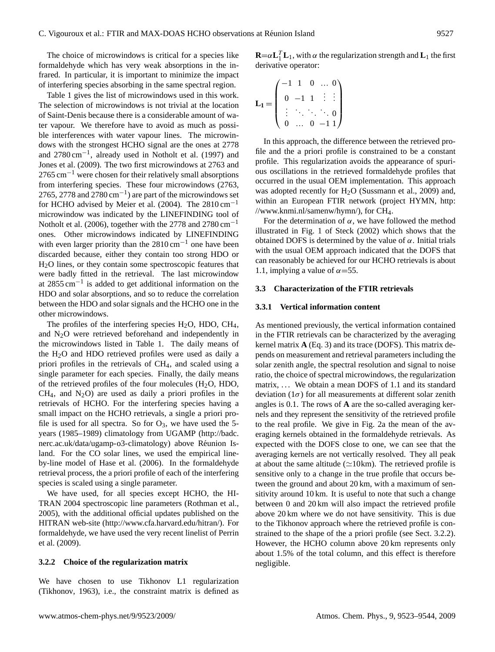The choice of microwindows is critical for a species like formaldehyde which has very weak absorptions in the infrared. In particular, it is important to minimize the impact of interfering species absorbing in the same spectral region.

Table [1](#page-3-0) gives the list of microwindows used in this work. The selection of microwindows is not trivial at the location of Saint-Denis because there is a considerable amount of water vapour. We therefore have to avoid as much as possible interferences with water vapour lines. The microwindows with the strongest HCHO signal are the ones at 2778 and 2780 cm−<sup>1</sup> , already used in [Notholt et al.](#page-20-2) [\(1997\)](#page-20-2) and [Jones et al.](#page-19-2) [\(2009\)](#page-19-2). The two first microwindows at 2763 and 2765 cm<sup>-1</sup> were chosen for their relatively small absorptions from interfering species. These four microwindows (2763, 2765, 2778 and 2780 cm<sup>-1</sup>) are part of the microwindows set for HCHO advised by [Meier et al.](#page-19-6) [\(2004\)](#page-19-6). The  $2810 \text{ cm}^{-1}$ microwindow was indicated by the LINEFINDING tool of [Notholt et al.](#page-20-9) [\(2006\)](#page-20-9), together with the 2778 and 2780 cm−<sup>1</sup> ones. Other microwindows indicated by LINEFINDING with even larger priority than the  $2810 \text{ cm}^{-1}$  one have been discarded because, either they contain too strong HDO or H2O lines, or they contain some spectroscopic features that were badly fitted in the retrieval. The last microwindow at  $2855 \text{ cm}^{-1}$  is added to get additional information on the HDO and solar absorptions, and so to reduce the correlation between the HDO and solar signals and the HCHO one in the other microwindows.

The profiles of the interfering species  $H_2O$ , HDO, CH<sub>4</sub>, and  $N_2O$  were retrieved beforehand and independently in the microwindows listed in Table [1.](#page-3-0) The daily means of the H2O and HDO retrieved profiles were used as daily a priori profiles in the retrievals of CH4, and scaled using a single parameter for each species. Finally, the daily means of the retrieved profiles of the four molecules  $(H<sub>2</sub>O, HDO,$  $CH<sub>4</sub>$ , and  $N<sub>2</sub>O$  are used as daily a priori profiles in the retrievals of HCHO. For the interfering species having a small impact on the HCHO retrievals, a single a priori profile is used for all spectra. So for  $O_3$ , we have used the 5years (1985–1989) climatology from UGAMP [\(http://badc.](http://badc.nerc.ac.uk/data/ugamp-o3-climatology) [nerc.ac.uk/data/ugamp-o3-climatology\)](http://badc.nerc.ac.uk/data/ugamp-o3-climatology) above Réunion Island. For the CO solar lines, we used the empirical lineby-line model of [Hase et al.](#page-19-7) [\(2006\)](#page-19-7). In the formaldehyde retrieval process, the a priori profile of each of the interfering species is scaled using a single parameter.

We have used, for all species except HCHO, the HI-TRAN 2004 spectroscopic line parameters [\(Rothman et al.,](#page-20-10) [2005\)](#page-20-10), with the additional official updates published on the HITRAN web-site [\(http://www.cfa.harvard.edu/hitran/\)](http://www.cfa.harvard.edu/hitran/). For formaldehyde, we have used the very recent linelist of [Perrin](#page-20-11) [et al.](#page-20-11) [\(2009\)](#page-20-11).

## <span id="page-4-0"></span>**3.2.2 Choice of the regularization matrix**

We have chosen to use Tikhonov L1 regularization [\(Tikhonov,](#page-21-2) [1963\)](#page-21-2), i.e., the constraint matrix is defined as

**R**= $\alpha$ **L**<sup>T</sup><sub>1</sub>**L**<sub>1</sub>, with  $\alpha$  the regularization strength and **L**<sub>1</sub> the first derivative operator:

$$
\mathbf{L_1} = \left( \begin{array}{cccc} -1 & 1 & 0 & \dots & 0 \\ 0 & -1 & 1 & \vdots & \vdots \\ \vdots & \ddots & \ddots & \ddots & 0 \\ 0 & \dots & 0 & -1 & 1 \end{array} \right)
$$

In this approach, the difference between the retrieved profile and the a priori profile is constrained to be a constant profile. This regularization avoids the appearance of spurious oscillations in the retrieved formaldehyde profiles that occurred in the usual OEM implementation. This approach was adopted recently for H2O [\(Sussmann et al.,](#page-21-3) [2009\)](#page-21-3) and, within an European FTIR network (project HYMN, [http:](http://www.knmi.nl/samenw/hymn/) [//www.knmi.nl/samenw/hymn/\)](http://www.knmi.nl/samenw/hymn/), for CH4.

For the determination of  $\alpha$ , we have followed the method illustrated in Fig. 1 of [Steck](#page-21-4) [\(2002\)](#page-21-4) which shows that the obtained DOFS is determined by the value of α. Initial trials with the usual OEM approach indicated that the DOFS that can reasonably be achieved for our HCHO retrievals is about 1.1, implying a value of  $\alpha$ =55.

#### **3.3 Characterization of the FTIR retrievals**

### **3.3.1 Vertical information content**

As mentioned previously, the vertical information contained in the FTIR retrievals can be characterized by the averaging kernel matrix **A** (Eq. 3) and its trace (DOFS). This matrix depends on measurement and retrieval parameters including the solar zenith angle, the spectral resolution and signal to noise ratio, the choice of spectral microwindows, the regularization matrix, ... We obtain a mean DOFS of 1.1 and its standard deviation  $(1\sigma)$  for all measurements at different solar zenith angles is 0.1. The rows of **A** are the so-called averaging kernels and they represent the sensitivity of the retrieved profile to the real profile. We give in Fig. [2a](#page-6-0) the mean of the averaging kernels obtained in the formaldehyde retrievals. As expected with the DOFS close to one, we can see that the averaging kernels are not vertically resolved. They all peak at about the same altitude ( $\simeq$ 10km). The retrieved profile is sensitive only to a change in the true profile that occurs between the ground and about 20 km, with a maximum of sensitivity around 10 km. It is useful to note that such a change between 0 and 20 km will also impact the retrieved profile above 20 km where we do not have sensitivity. This is due to the Tikhonov approach where the retrieved profile is constrained to the shape of the a priori profile (see Sect. [3.2.2\)](#page-4-0). However, the HCHO column above 20 km represents only about 1.5% of the total column, and this effect is therefore negligible.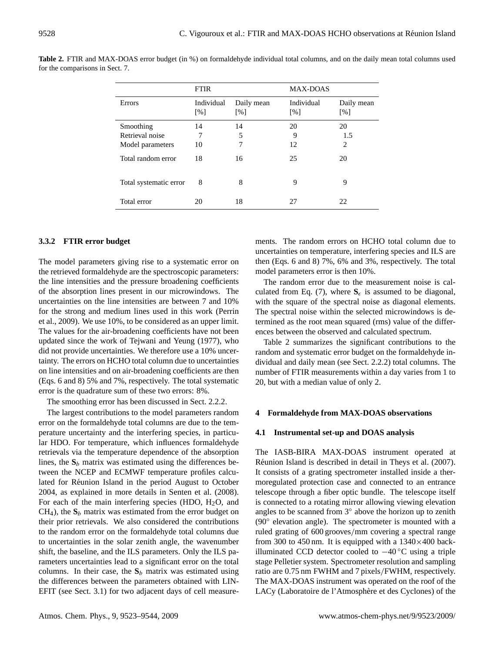|                        | <b>FTIR</b>                     |                                        | <b>MAX-DOAS</b>                 |                                 |
|------------------------|---------------------------------|----------------------------------------|---------------------------------|---------------------------------|
| Errors                 | Individual<br>$\lceil\% \rceil$ | Daily mean<br>$\lceil \sqrt{6} \rceil$ | Individual<br>$\lceil\% \rceil$ | Daily mean<br>$\lceil\% \rceil$ |
| Smoothing              | 14                              | 14                                     | 20                              | 20                              |
| Retrieval noise        | 7                               | 5                                      | 9                               | 1.5                             |
| Model parameters       | 10                              | 7                                      | 12                              | 2                               |
| Total random error     | 18                              | 16                                     | 25                              | 20                              |
| Total systematic error | 8                               | 8                                      | 9                               | 9                               |
| Total error            | 20                              | 18                                     | 27                              | 22                              |

<span id="page-5-0"></span>**Table 2.** FTIR and MAX-DOAS error budget (in %) on formaldehyde individual total columns, and on the daily mean total columns used for the comparisons in Sect. [7.](#page-10-0)

## <span id="page-5-1"></span>**3.3.2 FTIR error budget**

The model parameters giving rise to a systematic error on the retrieved formaldehyde are the spectroscopic parameters: the line intensities and the pressure broadening coefficients of the absorption lines present in our microwindows. The uncertainties on the line intensities are between 7 and 10% for the strong and medium lines used in this work [\(Perrin](#page-20-11) [et al.,](#page-20-11) [2009\)](#page-20-11). We use 10%, to be considered as an upper limit. The values for the air-broadening coefficients have not been updated since the work of [Tejwani and Yeung](#page-21-5) [\(1977\)](#page-21-5), who did not provide uncertainties. We therefore use a 10% uncertainty. The errors on HCHO total column due to uncertainties on line intensities and on air-broadening coefficients are then (Eqs. [6](#page-2-4) and [8\)](#page-2-5) 5% and 7%, respectively. The total systematic error is the quadrature sum of these two errors: 8%.

The smoothing error has been discussed in Sect. [2.2.2.](#page-2-6)

The largest contributions to the model parameters random error on the formaldehyde total columns are due to the temperature uncertainty and the interfering species, in particular HDO. For temperature, which influences formaldehyde retrievals via the temperature dependence of the absorption lines, the  $S_b$  matrix was estimated using the differences between the NCEP and ECMWF temperature profiles calculated for Réunion Island in the period August to October 2004, as explained in more details in [Senten et al.](#page-20-7) [\(2008\)](#page-20-7). For each of the main interfering species (HDO,  $H<sub>2</sub>O$ , and  $CH<sub>4</sub>$ ), the  $S<sub>b</sub>$  matrix was estimated from the error budget on their prior retrievals. We also considered the contributions to the random error on the formaldehyde total columns due to uncertainties in the solar zenith angle, the wavenumber shift, the baseline, and the ILS parameters. Only the ILS parameters uncertainties lead to a significant error on the total columns. In their case, the  $S_b$  matrix was estimated using the differences between the parameters obtained with LIN-EFIT (see Sect. [3.1\)](#page-2-7) for two adjacent days of cell measurements. The random errors on HCHO total column due to uncertainties on temperature, interfering species and ILS are then (Eqs. [6](#page-2-4) and [8\)](#page-2-5) 7%, 6% and 3%, respectively. The total model parameters error is then 10%.

The random error due to the measurement noise is cal-culated from Eq. [\(7\)](#page-2-8), where  $S_{\epsilon}$  is assumed to be diagonal, with the square of the spectral noise as diagonal elements. The spectral noise within the selected microwindows is determined as the root mean squared (rms) value of the differences between the observed and calculated spectrum.

Table [2](#page-5-0) summarizes the significant contributions to the random and systematic error budget on the formaldehyde individual and daily mean (see Sect. [2.2.2\)](#page-2-6) total columns. The number of FTIR measurements within a day varies from 1 to 20, but with a median value of only 2.

#### **4 Formaldehyde from MAX-DOAS observations**

#### **4.1 Instrumental set-up and DOAS analysis**

The IASB-BIRA MAX-DOAS instrument operated at Réunion Island is described in detail in [Theys et al.](#page-21-6) [\(2007\)](#page-21-6). It consists of a grating spectrometer installed inside a thermoregulated protection case and connected to an entrance telescope through a fiber optic bundle. The telescope itself is connected to a rotating mirror allowing viewing elevation angles to be scanned from 3◦ above the horizon up to zenith (90◦ elevation angle). The spectrometer is mounted with a ruled grating of 600 grooves/mm covering a spectral range from 300 to 450 nm. It is equipped with a  $1340\times400$  backilluminated CCD detector cooled to  $-40$  °C using a triple stage Pelletier system. Spectrometer resolution and sampling ratio are 0.75 nm FWHM and 7 pixels/FWHM, respectively. The MAX-DOAS instrument was operated on the roof of the LACy (Laboratoire de l'Atmosphère et des Cyclones) of the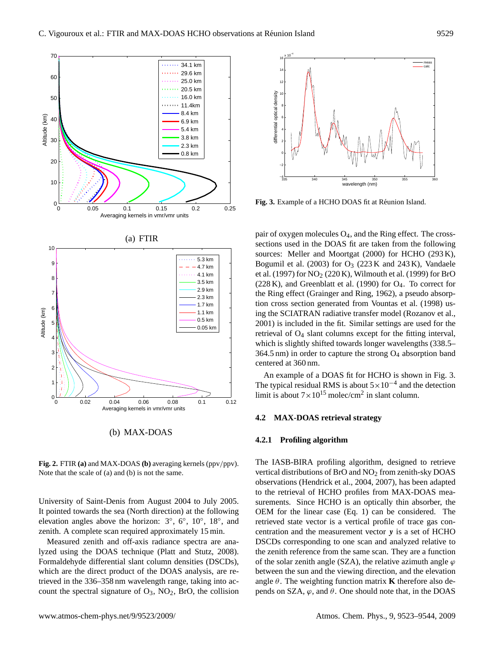

Fig. 2. FTIR (a) and MAX-DOAS (b) averaging kernels (ppv/ppv).<br>Note that the scale of (a) and (b) is not the same.<br>observations (Hendrick et al. 20 **Fig. 2.** FTIR (a) and MAX-DOAS (b) averaging kernels (ppv/ppv). The IASB-BIRA profiling algor<br>Note that the scale of (a) and (b) is not the scare

<span id="page-6-0"></span>University of Saint-Denis from August 2004 to July 2005. It pointed towards the sea (North direction) at the following elevation angles above the horizon:  $3^\circ$ ,  $6^\circ$ ,  $10^\circ$ ,  $18^\circ$ , and zenith. A complete scan required approximately 15 min.

Measured zenith and off-axis radiance spectra are analyzed using the DOAS technique [\(Platt and Stutz,](#page-20-12) [2008\)](#page-20-12). Formaldehyde differential slant column densities (DSCDs), which are the direct product of the DOAS analysis, are retrieved in the 336–358 nm wavelength range, taking into account the spectral signature of  $O_3$ ,  $NO_2$ , BrO, the collision



<span id="page-6-1"></span>Fig. 3. Example of a HCHO DOAS fit at Réunion Island.

pair of oxygen molecules  $O_4$ , and the Ring effect. The crosssections used in the DOAS fit are taken from the following sources: [Meller and Moortgat](#page-19-8) [\(2000\)](#page-19-8) for HCHO (293 K), [Bogumil et al.](#page-18-2) [\(2003\)](#page-18-2) for  $O_3$  (223 K and 243 K), [Vandaele](#page-21-7) [et al.](#page-21-7) [\(1997\)](#page-21-7) for  $NO<sub>2</sub>$  (220 K), [Wilmouth et al.](#page-21-8) [\(1999\)](#page-21-8) for BrO  $(228 K)$ , and [Greenblatt et al.](#page-19-9)  $(1990)$  for  $O<sub>4</sub>$ . To correct for the Ring effect [\(Grainger and Ring,](#page-19-10) [1962\)](#page-19-10), a pseudo absorption cross section generated from [Vountas et al.](#page-21-9) [\(1998\)](#page-21-9) using the SCIATRAN radiative transfer model [\(Rozanov et al.,](#page-20-13) [2001\)](#page-20-13) is included in the fit. Similar settings are used for the retrieval of O<sup>4</sup> slant columns except for the fitting interval, which is slightly shifted towards longer wavelengths (338.5–  $364.5$  nm) in order to capture the strong  $O<sub>4</sub>$  absorption band centered at 360 nm.

An example of a DOAS fit for HCHO is shown in Fig. [3.](#page-6-1) The typical residual RMS is about  $5 \times 10^{-4}$  and the detection limit is about  $7 \times 10^{15}$  molec/cm<sup>2</sup> in slant column.

# **4.2 MAX-DOAS retrieval strategy**

#### **4.2.1 Profiling algorithm**

The IASB-BIRA profiling algorithm, designed to retrieve vertical distributions of BrO and NO<sub>2</sub> from zenith-sky DOAS observations [\(Hendrick et al.,](#page-19-11) [2004,](#page-19-11) [2007\)](#page-19-12), has been adapted to the retrieval of HCHO profiles from MAX-DOAS measurements. Since HCHO is an optically thin absorber, the OEM for the linear case (Eq. [1\)](#page-2-9) can be considered. The retrieved state vector is a vertical profile of trace gas concentration and the measurement vector y is a set of HCHO DSCDs corresponding to one scan and analyzed relative to the zenith reference from the same scan. They are a function of the solar zenith angle (SZA), the relative azimuth angle  $\varphi$ between the sun and the viewing direction, and the elevation angle  $\theta$ . The weighting function matrix **K** therefore also depends on SZA,  $\varphi$ , and  $\theta$ . One should note that, in the DOAS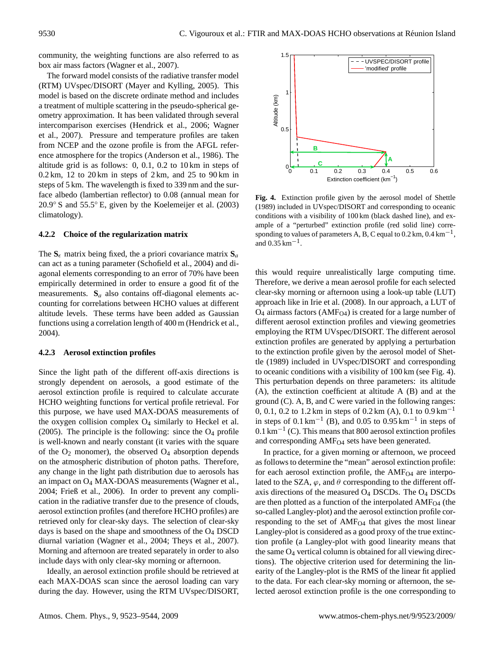community, the weighting functions are also referred to as box air mass factors [\(Wagner et al.,](#page-21-10) [2007\)](#page-21-10).

The forward model consists of the radiative transfer model (RTM) UVspec/DISORT [\(Mayer and Kylling,](#page-19-13) [2005\)](#page-19-13). This model is based on the discrete ordinate method and includes a treatment of multiple scattering in the pseudo-spherical geometry approximation. It has been validated through several intercomparison exercises [\(Hendrick et al.,](#page-19-14) [2006;](#page-19-14) [Wagner](#page-21-10) [et al.,](#page-21-10) [2007\)](#page-21-10). Pressure and temperature profiles are taken from NCEP and the ozone profile is from the AFGL reference atmosphere for the tropics [\(Anderson et al.,](#page-18-3) [1986\)](#page-18-3). The altitude grid is as follows: 0, 0.1, 0.2 to 10 km in steps of  $0.2 \text{ km}$ , 12 to 20 km in steps of  $2 \text{ km}$ , and  $25$  to  $90 \text{ km}$  in steps of 5 km. The wavelength is fixed to 339 nm and the surface albedo (lambertian reflector) to 0.08 (annual mean for 20.9◦ S and 55.5◦ E, given by the [Koelemeijer et al.](#page-19-15) [\(2003\)](#page-19-15) climatology).

## <span id="page-7-0"></span>**4.2.2 Choice of the regularization matrix**

The  $S_{\epsilon}$  matrix being fixed, the a priori covariance matrix  $S_{a}$ can act as a tuning parameter [\(Schofield et al.,](#page-20-14) [2004\)](#page-20-14) and diagonal elements corresponding to an error of 70% have been empirically determined in order to ensure a good fit of the measurements.  $S_a$  also contains off-diagonal elements accounting for correlations between HCHO values at different altitude levels. These terms have been added as Gaussian functions using a correlation length of 400 m [\(Hendrick et al.,](#page-19-11) [2004\)](#page-19-11).

#### **4.2.3 Aerosol extinction profiles**

Since the light path of the different off-axis directions is strongly dependent on aerosols, a good estimate of the aerosol extinction profile is required to calculate accurate HCHO weighting functions for vertical profile retrieval. For this purpose, we have used MAX-DOAS measurements of the oxygen collision complex  $O<sub>4</sub>$  similarly to [Heckel et al.](#page-19-3) [\(2005\)](#page-19-3). The principle is the following: since the  $O_4$  profile is well-known and nearly constant (it varies with the square of the  $O_2$  monomer), the observed  $O_4$  absorption depends on the atmospheric distribution of photon paths. Therefore, any change in the light path distribution due to aerosols has an impact on O<sup>4</sup> MAX-DOAS measurements [\(Wagner et al.,](#page-21-11) [2004;](#page-21-11) [Frieß et al.,](#page-19-16) [2006\)](#page-19-16). In order to prevent any complication in the radiative transfer due to the presence of clouds, aerosol extinction profiles (and therefore HCHO profiles) are retrieved only for clear-sky days. The selection of clear-sky days is based on the shape and smoothness of the  $O<sub>4</sub>$  DSCD diurnal variation [\(Wagner et al.,](#page-21-11) [2004;](#page-21-11) [Theys et al.,](#page-21-6) [2007\)](#page-21-6). Morning and afternoon are treated separately in order to also include days with only clear-sky morning or afternoon.

Ideally, an aerosol extinction profile should be retrieved at each MAX-DOAS scan since the aerosol loading can vary during the day. However, using the RTM UVspec/DISORT,



<span id="page-7-1"></span>**Fig. 4.** Extinction profile given by the aerosol model of [Shettle](#page-20-15) [\(1989\)](#page-20-15) included in UVspec/DISORT and corresponding to oceanic conditions with a visibility of 100 km (black dashed line), and example of a "perturbed" extinction profile (red solid line) corresponding to values of parameters A, B, C equal to  $0.2$  km,  $0.4$  km<sup>-1</sup>, and  $0.35 \text{ km}^{-1}$ .

this would require unrealistically large computing time. Therefore, we derive a mean aerosol profile for each selected clear-sky morning or afternoon using a look-up table (LUT) approach like in [Irie et al.](#page-19-17) [\(2008\)](#page-19-17). In our approach, a LUT of  $O_4$  airmass factors (AMF<sub>O4</sub>) is created for a large number of different aerosol extinction profiles and viewing geometries employing the RTM UVspec/DISORT. The different aerosol extinction profiles are generated by applying a perturbation to the extinction profile given by the aerosol model of [Shet](#page-20-15)[tle](#page-20-15) [\(1989\)](#page-20-15) included in UVspec/DISORT and corresponding to oceanic conditions with a visibility of 100 km (see Fig. [4\)](#page-7-1). This perturbation depends on three parameters: its altitude (A), the extinction coefficient at altitude A (B) and at the ground (C). A, B, and C were varied in the following ranges: 0, 0.1, 0.2 to 1.2 km in steps of 0.2 km (A), 0.1 to  $0.9 \text{ km}^{-1}$ in steps of  $0.1 \text{ km}^{-1}$  (B), and  $0.05$  to  $0.95 \text{ km}^{-1}$  in steps of 0.1 km−<sup>1</sup> (C). This means that 800 aerosol extinction profiles and corresponding  $AMF<sub>O4</sub>$  sets have been generated.

In practice, for a given morning or afternoon, we proceed as follows to determine the "mean" aerosol extinction profile: for each aerosol extinction profile, the  $AMF<sub>O4</sub>$  are interpolated to the SZA,  $\varphi$ , and  $\theta$  corresponding to the different offaxis directions of the measured  $O_4$  DSCDs. The  $O_4$  DSCDs are then plotted as a function of the interpolated  $AMF<sub>O4</sub>$  (the so-called Langley-plot) and the aerosol extinction profile corresponding to the set of  $AMF<sub>O4</sub>$  that gives the most linear Langley-plot is considered as a good proxy of the true extinction profile (a Langley-plot with good linearity means that the same  $O_4$  vertical column is obtained for all viewing directions). The objective criterion used for determining the linearity of the Langley-plot is the RMS of the linear fit applied to the data. For each clear-sky morning or afternoon, the selected aerosol extinction profile is the one corresponding to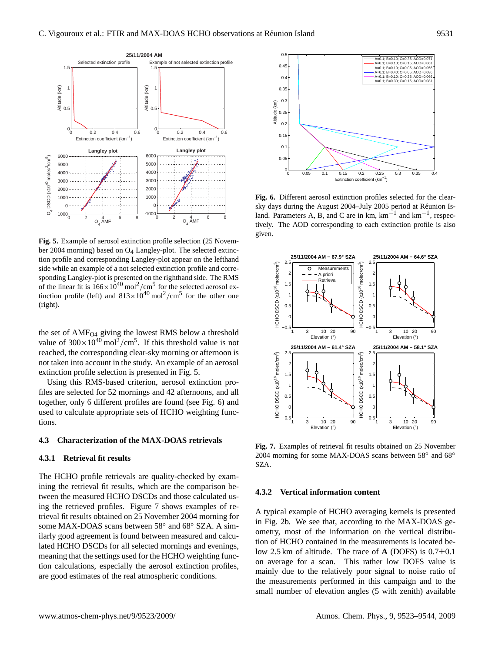

<span id="page-8-0"></span>**Fig. 5.** Example of aerosol extinction profile selection (25 November 2004 morning) based on O4 Langley-plot. The selected extinction profile and corresponding Langley-plot appear on the lefthand side while an example of a not selected extinction profile and corresponding Langley-plot is presented on the righthand side. The RMS of the linear fit is  $166 \times 10^{40}$  mol<sup>2</sup>/cm<sup>5</sup> for the selected aerosol extinction profile (left) and  $813 \times 10^{40}$  mol<sup>2</sup>/cm<sup>5</sup> for the other one (right).

the set of AMF<sub>O4</sub> giving the lowest RMS below a threshold value of  $300 \times 10^{40}$  mol<sup>2</sup>/cm<sup>5</sup>. If this threshold value is not reached, the corresponding clear-sky morning or afternoon is not taken into account in the study. An example of an aerosol extinction profile selection is presented in Fig. [5.](#page-8-0)

Using this RMS-based criterion, aerosol extinction profiles are selected for 52 mornings and 42 afternoons, and all together, only 6 different profiles are found (see Fig. [6\)](#page-8-1) and used to calculate appropriate sets of HCHO weighting functions.

#### **4.3 Characterization of the MAX-DOAS retrievals**

#### **4.3.1 Retrieval fit results**

The HCHO profile retrievals are quality-checked by examining the retrieval fit results, which are the comparison between the measured HCHO DSCDs and those calculated using the retrieved profiles. Figure [7](#page-8-2) shows examples of retrieval fit results obtained on 25 November 2004 morning for some MAX-DOAS scans between 58° and 68° SZA. A similarly good agreement is found between measured and calculated HCHO DSCDs for all selected mornings and evenings, meaning that the settings used for the HCHO weighting function calculations, especially the aerosol extinction profiles, are good estimates of the real atmospheric conditions.



<span id="page-8-1"></span>**Fig. 6.** Different aerosol extinction profiles selected for the clearsky days during the August 2004–July 2005 period at Reunion Is- ´ land. Parameters A, B, and C are in km,  $km^{-1}$  and  $km^{-1}$ , respectively. The AOD corresponding to each extinction profile is also given.



<span id="page-8-2"></span>**Fig. 7.** Examples of retrieval fit results obtained on 25 November 2004 morning for some MAX-DOAS scans between 58° and 68° SZA.

#### **4.3.2 Vertical information content**

A typical example of HCHO averaging kernels is presented in Fig. [2b](#page-6-0). We see that, according to the MAX-DOAS geometry, most of the information on the vertical distribution of HCHO contained in the measurements is located below 2.5 km of altitude. The trace of **A** (DOFS) is 0.7±0.1 on average for a scan. This rather low DOFS value is mainly due to the relatively poor signal to noise ratio of the measurements performed in this campaign and to the small number of elevation angles (5 with zenith) available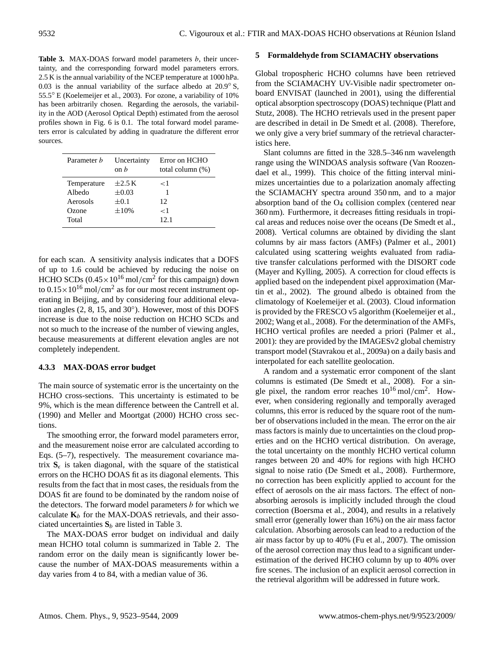<span id="page-9-0"></span>Table 3. MAX-DOAS forward model parameters b, their uncertainty, and the corresponding forward model parameters errors. 2.5 K is the annual variability of the NCEP temperature at 1000 hPa. 0.03 is the annual variability of the surface albedo at  $20.9°$  S, 55.5◦ E [\(Koelemeijer et al.,](#page-19-15) [2003\)](#page-19-15). For ozone, a variability of 10% has been arbitrarily chosen. Regarding the aerosols, the variability in the AOD (Aerosol Optical Depth) estimated from the aerosol profiles shown in Fig. [6](#page-8-1) is 0.1. The total forward model parameters error is calculated by adding in quadrature the different error sources.

| Parameter <i>b</i>    | Uncertainty<br>$\alpha$ b | Error on HCHO<br>total column $(\%)$ |
|-----------------------|---------------------------|--------------------------------------|
| Temperature<br>Albedo | $\pm 2.5$ K<br>$\pm 0.03$ | ا >                                  |
| Aerosols              | $\pm 0.1$                 | 12                                   |
| Ozone                 | $\pm 10\%$                | < 1                                  |
| Total                 |                           | 12.1                                 |

for each scan. A sensitivity analysis indicates that a DOFS of up to 1.6 could be achieved by reducing the noise on HCHO SCDs  $(0.45 \times 10^{16} \text{ mol/cm}^2$  for this campaign) down to  $0.15 \times 10^{16}$  mol/cm<sup>2</sup> as for our most recent instrument operating in Beijing, and by considering four additional elevation angles (2, 8, 15, and 30°). However, most of this DOFS increase is due to the noise reduction on HCHO SCDs and not so much to the increase of the number of viewing angles, because measurements at different elevation angles are not completely independent.

## <span id="page-9-1"></span>**4.3.3 MAX-DOAS error budget**

The main source of systematic error is the uncertainty on the HCHO cross-sections. This uncertainty is estimated to be 9%, which is the mean difference between the [Cantrell et al.](#page-18-4) [\(1990\)](#page-18-4) and [Meller and Moortgat](#page-19-8) [\(2000\)](#page-19-8) HCHO cross sections.

The smoothing error, the forward model parameters error, and the measurement noise error are calculated according to Eqs. [\(5–](#page-2-2)[7\)](#page-2-8), respectively. The measurement covariance matrix  $S_{\epsilon}$  is taken diagonal, with the square of the statistical errors on the HCHO DOAS fit as its diagonal elements. This results from the fact that in most cases, the residuals from the DOAS fit are found to be dominated by the random noise of the detectors. The forward model parameters  $b$  for which we calculate  $\mathbf{K}_b$  for the MAX-DOAS retrievals, and their associated uncertainties  $S_b$  are listed in Table [3.](#page-9-0)

The MAX-DOAS error budget on individual and daily mean HCHO total column is summarized in Table [2.](#page-5-0) The random error on the daily mean is significantly lower because the number of MAX-DOAS measurements within a day varies from 4 to 84, with a median value of 36.

#### <span id="page-9-2"></span>**5 Formaldehyde from SCIAMACHY observations**

Global tropospheric HCHO columns have been retrieved from the SCIAMACHY UV-Visible nadir spectrometer onboard ENVISAT (launched in 2001), using the differential optical absorption spectroscopy (DOAS) technique [\(Platt and](#page-20-12) [Stutz,](#page-20-12) [2008\)](#page-20-12). The HCHO retrievals used in the present paper are described in detail in [De Smedt et al.](#page-19-0) [\(2008\)](#page-19-0). Therefore, we only give a very brief summary of the retrieval characteristics here.

Slant columns are fitted in the 328.5–346 nm wavelength range using the WINDOAS analysis software [\(Van Roozen](#page-21-12)[dael et al.,](#page-21-12) [1999\)](#page-21-12). This choice of the fitting interval minimizes uncertainties due to a polarization anomaly affecting the SCIAMACHY spectra around 350 nm, and to a major absorption band of the  $O<sub>4</sub>$  collision complex (centered near 360 nm). Furthermore, it decreases fitting residuals in tropical areas and reduces noise over the oceans [\(De Smedt et al.,](#page-19-0) [2008\)](#page-19-0). Vertical columns are obtained by dividing the slant columns by air mass factors (AMFs) [\(Palmer et al.,](#page-20-16) [2001\)](#page-20-16) calculated using scattering weights evaluated from radiative transfer calculations performed with the DISORT code [\(Mayer and Kylling,](#page-19-13) [2005\)](#page-19-13). A correction for cloud effects is applied based on the independent pixel approximation [\(Mar](#page-19-18)[tin et al.,](#page-19-18) [2002\)](#page-19-18). The ground albedo is obtained from the climatology of [Koelemeijer et al.](#page-19-15) [\(2003\)](#page-19-15). Cloud information is provided by the FRESCO v5 algorithm [\(Koelemeijer et al.,](#page-19-19) [2002;](#page-19-19) [Wang et al.,](#page-21-13) [2008\)](#page-21-13). For the determination of the AMFs, HCHO vertical profiles are needed a priori [\(Palmer et al.,](#page-20-16) [2001\)](#page-20-16): they are provided by the IMAGESv2 global chemistry transport model [\(Stavrakou et al.,](#page-20-0) [2009a\)](#page-20-0) on a daily basis and interpolated for each satellite geolocation.

A random and a systematic error component of the slant columns is estimated [\(De Smedt et al.,](#page-19-0) [2008\)](#page-19-0). For a single pixel, the random error reaches  $10^{16}$  mol/cm<sup>2</sup>. However, when considering regionally and temporally averaged columns, this error is reduced by the square root of the number of observations included in the mean. The error on the air mass factors is mainly due to uncertainties on the cloud properties and on the HCHO vertical distribution. On average, the total uncertainty on the monthly HCHO vertical column ranges between 20 and 40% for regions with high HCHO signal to noise ratio [\(De Smedt et al.,](#page-19-0) [2008\)](#page-19-0). Furthermore, no correction has been explicitly applied to account for the effect of aerosols on the air mass factors. The effect of nonabsorbing aerosols is implicitly included through the cloud correction [\(Boersma et al.,](#page-18-5) [2004\)](#page-18-5), and results in a relatively small error (generally lower than 16%) on the air mass factor calculation. Absorbing aerosols can lead to a reduction of the air mass factor by up to 40% [\(Fu et al.,](#page-19-20) [2007\)](#page-19-20). The omission of the aerosol correction may thus lead to a significant underestimation of the derived HCHO column by up to 40% over fire scenes. The inclusion of an explicit aerosol correction in the retrieval algorithm will be addressed in future work.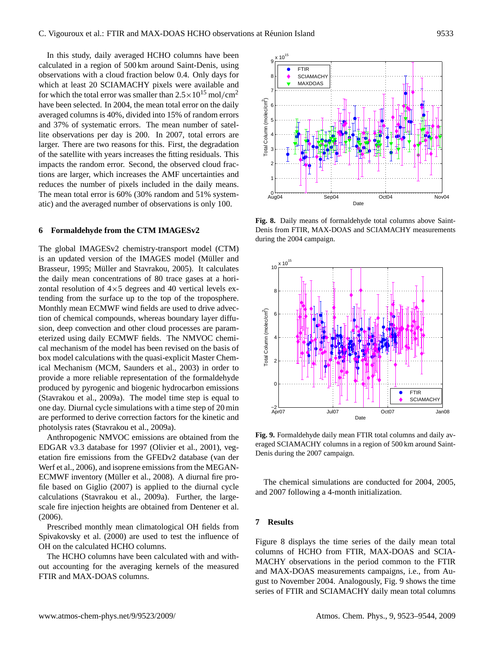In this study, daily averaged HCHO columns have been calculated in a region of 500 km around Saint-Denis, using observations with a cloud fraction below 0.4. Only days for which at least 20 SCIAMACHY pixels were available and for which the total error was smaller than  $2.5 \times 10^{15}$  mol/cm<sup>2</sup> have been selected. In 2004, the mean total error on the daily averaged columns is 40%, divided into 15% of random errors and 37% of systematic errors. The mean number of satellite observations per day is 200. In 2007, total errors are larger. There are two reasons for this. First, the degradation of the satellite with years increases the fitting residuals. This impacts the random error. Second, the observed cloud fractions are larger, which increases the AMF uncertainties and reduces the number of pixels included in the daily means. The mean total error is 60% (30% random and 51% systematic) and the averaged number of observations is only 100.

## **6 Formaldehyde from the CTM IMAGESv2**

The global IMAGESv2 chemistry-transport model (CTM) is an updated version of the IMAGES model (Müller and [Brasseur,](#page-19-21) [1995;](#page-19-21) Müller and Stavrakou, [2005\)](#page-20-17). It calculates the daily mean concentrations of 80 trace gases at a horizontal resolution of  $4\times5$  degrees and 40 vertical levels extending from the surface up to the top of the troposphere. Monthly mean ECMWF wind fields are used to drive advection of chemical compounds, whereas boundary layer diffusion, deep convection and other cloud processes are parameterized using daily ECMWF fields. The NMVOC chemical mechanism of the model has been revised on the basis of box model calculations with the quasi-explicit Master Chemical Mechanism (MCM, [Saunders et al.,](#page-20-18) [2003\)](#page-20-18) in order to provide a more reliable representation of the formaldehyde produced by pyrogenic and biogenic hydrocarbon emissions [\(Stavrakou et al.,](#page-20-0) [2009a\)](#page-20-0). The model time step is equal to one day. Diurnal cycle simulations with a time step of 20 min are performed to derive correction factors for the kinetic and photolysis rates [\(Stavrakou et al.,](#page-20-0) [2009a\)](#page-20-0).

Anthropogenic NMVOC emissions are obtained from the EDGAR v3.3 database for 1997 [\(Olivier et al.,](#page-20-19) [2001\)](#page-20-19), vegetation fire emissions from the GFEDv2 database [\(van der](#page-21-14) [Werf et al.,](#page-21-14) [2006\)](#page-21-14), and isoprene emissions from the MEGAN-ECMWF inventory (Müller et al., [2008\)](#page-20-20). A diurnal fire profile based on [Giglio](#page-19-22) [\(2007\)](#page-19-22) is applied to the diurnal cycle calculations [\(Stavrakou et al.,](#page-20-0) [2009a\)](#page-20-0). Further, the largescale fire injection heights are obtained from [Dentener et al.](#page-18-6) [\(2006\)](#page-18-6).

Prescribed monthly mean climatological OH fields from [Spivakovsky et al.](#page-20-21) [\(2000\)](#page-20-21) are used to test the influence of OH on the calculated HCHO columns.

The HCHO columns have been calculated with and without accounting for the averaging kernels of the measured FTIR and MAX-DOAS columns.



<span id="page-10-1"></span>**Fig. 8.** Daily means of formaldehyde total columns above Saint-Denis from FTIR, MAX-DOAS and SCIAMACHY measurements during the 2004 campaign.



<span id="page-10-2"></span>**Fig. 9.** Formaldehyde daily mean FTIR total columns and daily averaged SCIAMACHY columns in a region of 500 km around Saint-Denis during the 2007 campaign.

The chemical simulations are conducted for 2004, 2005, and 2007 following a 4-month initialization.

#### <span id="page-10-0"></span>**7 Results**

Figure [8](#page-10-1) displays the time series of the daily mean total columns of HCHO from FTIR, MAX-DOAS and SCIA-MACHY observations in the period common to the FTIR and MAX-DOAS measurements campaigns, i.e., from August to November 2004. Analogously, Fig. [9](#page-10-2) shows the time series of FTIR and SCIAMACHY daily mean total columns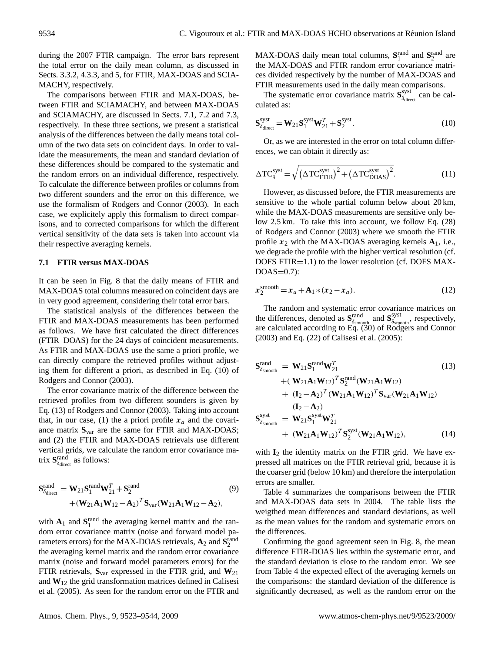during the 2007 FTIR campaign. The error bars represent the total error on the daily mean column, as discussed in Sects. [3.3.2,](#page-5-1) [4.3.3,](#page-9-1) and [5,](#page-9-2) for FTIR, MAX-DOAS and SCIA-MACHY, respectively.

The comparisons between FTIR and MAX-DOAS, between FTIR and SCIAMACHY, and between MAX-DOAS and SCIAMACHY, are discussed in Sects. [7.1,](#page-11-0) [7.2](#page-12-0) and [7.3,](#page-13-0) respectively. In these three sections, we present a statistical analysis of the differences between the daily means total column of the two data sets on coincident days. In order to validate the measurements, the mean and standard deviation of these differences should be compared to the systematic and the random errors on an individual difference, respectively. To calculate the difference between profiles or columns from two different sounders and the error on this difference, we use the formalism of [Rodgers and Connor](#page-20-22) [\(2003\)](#page-20-22). In each case, we explicitely apply this formalism to direct comparisons, and to corrected comparisons for which the different vertical sensitivity of the data sets is taken into account via their respective averaging kernels.

#### <span id="page-11-0"></span>**7.1 FTIR versus MAX-DOAS**

It can be seen in Fig. [8](#page-10-1) that the daily means of FTIR and MAX-DOAS total columns measured on coincident days are in very good agreement, considering their total error bars.

The statistical analysis of the differences between the FTIR and MAX-DOAS measurements has been performed as follows. We have first calculated the direct differences (FTIR–DOAS) for the 24 days of coincident measurements. As FTIR and MAX-DOAS use the same a priori profile, we can directly compare the retrieved profiles without adjusting them for different a priori, as described in Eq. (10) of [Rodgers and Connor](#page-20-22) [\(2003\)](#page-20-22).

The error covariance matrix of the difference between the retrieved profiles from two different sounders is given by Eq. (13) of [Rodgers and Connor](#page-20-22) [\(2003\)](#page-20-22). Taking into account that, in our case, (1) the a priori profile  $x_a$  and the covariance matrix **S**var are the same for FTIR and MAX-DOAS; and (2) the FTIR and MAX-DOAS retrievals use different vertical grids, we calculate the random error covariance matrix  $S_{\delta_{\text{direct}}}^{\text{rand}}$  as follows:

$$
\mathbf{S}^{\text{rand}}_{\delta_{\text{direct}}} = \mathbf{W}_{21} \mathbf{S}^{\text{rand}}_{1} \mathbf{W}_{21}^{T} + \mathbf{S}^{\text{rand}}_{2} + (\mathbf{W}_{21} \mathbf{A}_{1} \mathbf{W}_{12} - \mathbf{A}_{2})^{T} \mathbf{S}_{\text{var}} (\mathbf{W}_{21} \mathbf{A}_{1} \mathbf{W}_{12} - \mathbf{A}_{2}),
$$
\n(9)

with  $A_1$  and  $S_1^{\text{rand}}$  the averaging kernel matrix and the random error covariance matrix (noise and forward model parameters errors) for the MAX-DOAS retrievals,  $\mathbf{A}_2$  and  $\mathbf{S}_2^{\text{rand}}$ the averaging kernel matrix and the random error covariance matrix (noise and forward model parameters errors) for the FTIR retrievals, **S**var expressed in the FTIR grid, and **W**<sup>21</sup> and **W**<sup>12</sup> the grid transformation matrices defined in [Calisesi](#page-18-7) [et al.](#page-18-7) [\(2005\)](#page-18-7). As seen for the random error on the FTIR and

MAX-DOAS daily mean total columns,  $S_1^{\text{rand}}$  and  $S_2^{\text{rand}}$  are the MAX-DOAS and FTIR random error covariance matrices divided respectively by the number of MAX-DOAS and FTIR measurements used in the daily mean comparisons.

The systematic error covariance matrix  $S_{\delta_{\text{disc}}}^{\text{syst}}$  $\delta_{\text{direct}}$  can be calculated as:

$$
\mathbf{S}_{\delta_{\text{direct}}}^{\text{syst}} = \mathbf{W}_{21} \mathbf{S}_1^{\text{syst}} \mathbf{W}_{21}^T + \mathbf{S}_2^{\text{syst}}.
$$
 (10)

Or, as we are interested in the error on total column differences, we can obtain it directly as:

$$
\Delta \text{TC}^{\text{syst}}_{\delta} = \sqrt{\left(\Delta \text{TC}^{\text{syst}}_{\text{FTIR}}\right)^{2} + \left(\Delta \text{TC}^{\text{syst}}_{\text{DOAS}}\right)^{2}}.
$$
 (11)

However, as discussed before, the FTIR measurements are sensitive to the whole partial column below about 20 km, while the MAX-DOAS measurements are sensitive only below 2.5 km. To take this into account, we follow Eq. (28) of [Rodgers and Connor](#page-20-22) [\(2003\)](#page-20-22) where we smooth the FTIR profile  $x_2$  with the MAX-DOAS averaging kernels  $A_1$ , i.e., we degrade the profile with the higher vertical resolution (cf. DOFS FTIR=1.1) to the lower resolution (cf. DOFS MAX- $DOAS=0.7$ :

<span id="page-11-1"></span>
$$
\boldsymbol{x}_2^{\text{smooth}} = \boldsymbol{x}_a + \mathbf{A}_1 \ast (\boldsymbol{x}_2 - \boldsymbol{x}_a). \tag{12}
$$

The random and systematic error covariance matrices on the differences, denoted as  $S_{\delta_{\text{smooth}}}^{\text{rand}}$  and  $S_{\delta_{\text{sm}}}^{\text{sys}}$  $\delta_{\text{smooth}}$ , respectively, are calculated according to Eq. (30) of [Rodgers and Connor](#page-20-22) [\(2003\)](#page-20-22) and Eq. (22) of [Calisesi et al.](#page-18-7) [\(2005\)](#page-18-7):

$$
\mathbf{S}_{\delta_{\text{smooth}}}^{\text{rand}} = \mathbf{W}_{21} \mathbf{S}_{1}^{\text{rand}} \mathbf{W}_{21}^{T}
$$
(13)  
+ (\mathbf{W}\_{21} \mathbf{A}\_{1} \mathbf{W}\_{12})^{T} \mathbf{S}\_{2}^{\text{rand}} (\mathbf{W}\_{21} \mathbf{A}\_{1} \mathbf{W}\_{12})  
+ (\mathbf{I}\_{2} - \mathbf{A}\_{2})^{T} (\mathbf{W}\_{21} \mathbf{A}\_{1} \mathbf{W}\_{12})^{T} \mathbf{S}\_{\text{var}} (\mathbf{W}\_{21} \mathbf{A}\_{1} \mathbf{W}\_{12})  
(\mathbf{I}\_{2} - \mathbf{A}\_{2})  

$$
\mathbf{S}_{\delta_{\text{smooth}}}^{\text{syst}} = \mathbf{W}_{21} \mathbf{S}_{1}^{\text{syst}} \mathbf{W}_{21}^{T}
$$
+ (\mathbf{W}\_{21} \mathbf{A}\_{1} \mathbf{W}\_{12})^{T} \mathbf{S}\_{2}^{\text{syst}} (\mathbf{W}\_{21} \mathbf{A}\_{1} \mathbf{W}\_{12}),(14)

with **I**<sub>2</sub> the identity matrix on the FTIR grid. We have expressed all matrices on the FTIR retrieval grid, because it is the coarser grid (below 10 km) and therefore the interpolation errors are smaller.

Table [4](#page-12-1) summarizes the comparisons between the FTIR and MAX-DOAS data sets in 2004. The table lists the weigthed mean differences and standard deviations, as well as the mean values for the random and systematic errors on the differences.

Confirming the good agreement seen in Fig. [8,](#page-10-1) the mean difference FTIR-DOAS lies within the systematic error, and the standard deviation is close to the random error. We see from Table [4](#page-12-1) the expected effect of the averaging kernels on the comparisons: the standard deviation of the difference is significantly decreased, as well as the random error on the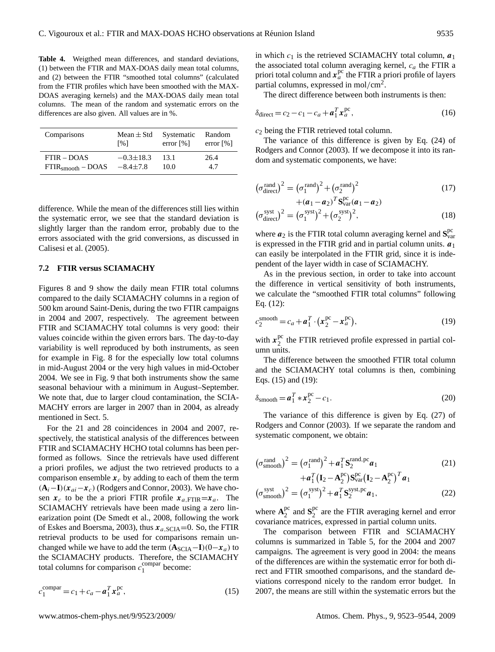<span id="page-12-1"></span>**Table 4.** Weigthed mean differences, and standard deviations, (1) between the FTIR and MAX-DOAS daily mean total columns, and (2) between the FTIR "smoothed total columns" (calculated from the FTIR profiles which have been smoothed with the MAX-DOAS averaging kernels) and the MAX-DOAS daily mean total columns. The mean of the random and systematic errors on the differences are also given. All values are in %.

| Comparisons         | Mean $\pm$ Std     | Systematic              | Random                  |
|---------------------|--------------------|-------------------------|-------------------------|
|                     | $\lceil 96 \rceil$ | error $\lceil\% \rceil$ | error $\lceil\% \rceil$ |
| $FTIR - DOAS$       | $-0.3 \pm 18.3$    | 13.1                    | 26.4                    |
| $FTIRsmooth - DOAS$ | $-8.4 \pm 7.8$     | 10.0                    | 4.7                     |

difference. While the mean of the differences still lies within the systematic error, we see that the standard deviation is slightly larger than the random error, probably due to the errors associated with the grid conversions, as discussed in [Calisesi et al.](#page-18-7) [\(2005\)](#page-18-7).

#### <span id="page-12-0"></span>**7.2 FTIR versus SCIAMACHY**

Figures [8](#page-10-1) and [9](#page-10-2) show the daily mean FTIR total columns compared to the daily SCIAMACHY columns in a region of 500 km around Saint-Denis, during the two FTIR campaigns in 2004 and 2007, respectively. The agreement between FTIR and SCIAMACHY total columns is very good: their values coincide within the given errors bars. The day-to-day variability is well reproduced by both instruments, as seen for example in Fig. [8](#page-10-1) for the especially low total columns in mid-August 2004 or the very high values in mid-October 2004. We see in Fig. [9](#page-10-2) that both instruments show the same seasonal behaviour with a minimum in August–September. We note that, due to larger cloud contamination, the SCIA-MACHY errors are larger in 2007 than in 2004, as already mentioned in Sect. [5.](#page-9-2)

For the 21 and 28 coincidences in 2004 and 2007, respectively, the statistical analysis of the differences between FTIR and SCIAMACHY HCHO total columns has been performed as follows. Since the retrievals have used different a priori profiles, we adjust the two retrieved products to a comparison ensemble  $x_c$  by adding to each of them the term  $(\mathbf{A}_i - \mathbf{I})(x_{ai} - x_c)$  [\(Rodgers and Connor,](#page-20-22) [2003\)](#page-20-22). We have chosen  $x_c$  to be the a priori FTIR profile  $x_{a,\text{FTIR}}=x_a$ . The SCIAMACHY retrievals have been made using a zero linearization point [\(De Smedt et al.,](#page-19-0) [2008,](#page-19-0) following the work of [Eskes and Boersma,](#page-19-23) [2003\)](#page-19-23), thus  $x_{a,\text{SCIA}} = 0$ . So, the FTIR retrieval products to be used for comparisons remain unchanged while we have to add the term  $(A<sub>SCIA</sub> - I)(0-x<sub>a</sub>)$  to the SCIAMACHY products. Therefore, the SCIAMACHY total columns for comparison  $c_1^{\text{compar}}$  $\frac{1}{1}$  become:

<span id="page-12-2"></span>
$$
c_1^{\text{compar}} = c_1 + c_a - \boldsymbol{a}_1^T \boldsymbol{x}_a^{\text{pc}},
$$
\n(15)

in which  $c_1$  is the retrieved SCIAMACHY total column,  $a_1$ the associated total column averaging kernel,  $c_a$  the FTIR a priori total column and  $x_a^{\text{pc}}$  the FTIR a priori profile of layers partial columns, expressed in mol/cm<sup>2</sup>.

The direct difference between both instruments is then:

$$
\delta_{\text{direct}} = c_2 - c_1 - c_a + \mathbf{a}_1^T \mathbf{x}_a^{\text{pc}},\tag{16}
$$

 $c_2$  being the FTIR retrieved total column.

The variance of this difference is given by Eq. (24) of [Rodgers and Connor](#page-20-22) [\(2003\)](#page-20-22). If we decompose it into its random and systematic components, we have:

$$
\left(\sigma_{\text{direct}}^{\text{rand}}\right)^2 = \left(\sigma_1^{\text{rand}}\right)^2 + \left(\sigma_2^{\text{rand}}\right)^2\tag{17}
$$

$$
+(\mathbf{a}_1 - \mathbf{a}_2)^T \mathbf{S}_{\text{var}}^{\text{pc}}(\mathbf{a}_1 - \mathbf{a}_2)
$$

$$
(\sigma_{\text{direct}}^{\text{syst}})^2 = (\sigma_1^{\text{syst}})^2 + (\sigma_2^{\text{syst}})^2, \tag{18}
$$

where  $a_2$  is the FTIR total column averaging kernel and  $S^{\text{pc}}_{\text{var}}$ is expressed in the FTIR grid and in partial column units.  $a_1$ can easily be interpolated in the FTIR grid, since it is independent of the layer width in case of SCIAMACHY.

As in the previous section, in order to take into account the difference in vertical sensitivity of both instruments, we calculate the "smoothed FTIR total columns" following Eq. [\(12\)](#page-11-1):

<span id="page-12-3"></span>
$$
c_2^{\text{smooth}} = c_a + \boldsymbol{a}_1^T \cdot (\boldsymbol{x}_2^{\text{pc}} - \boldsymbol{x}_a^{\text{pc}}),
$$
\n(19)

with  $x_2^{pc}$  $\frac{p}{2}$  the FTIR retrieved profile expressed in partial column units.

The difference between the smoothed FTIR total column and the SCIAMACHY total columns is then, combining Eqs. [\(15\)](#page-12-2) and [\(19\)](#page-12-3):

$$
\delta_{\text{smooth}} = \boldsymbol{a}_1^T * \boldsymbol{x}_2^{\text{pc}} - c_1. \tag{20}
$$

The variance of this difference is given by Eq. (27) of [Rodgers and Connor](#page-20-22) [\(2003\)](#page-20-22). If we separate the random and systematic component, we obtain:

$$
(\sigma_{\text{smooth}}^{\text{rand}})^2 = (\sigma_1^{\text{rand}})^2 + \mathbf{a}_1^T \mathbf{S}_2^{\text{rand},\text{pc}} \mathbf{a}_1
$$
  
+
$$
\mathbf{a}_1^T (\mathbf{I}_2 - \mathbf{A}_2^{\text{pc}}) \mathbf{S}_{\text{var}}^{\text{pc}} (\mathbf{I}_2 - \mathbf{A}_2^{\text{pc}})^T \mathbf{a}_1
$$
  

$$
(\sigma_{\text{smooth}}^{\text{syst}})^2 = (\sigma_1^{\text{syst}})^2 + \mathbf{a}_1^T \mathbf{S}_2^{\text{syst},\text{pc}} \mathbf{a}_1,
$$
 (22)

where  $A_2^{pc}$  $2^{\text{pc}}$  and  $S_2^{\text{pc}}$  $2<sup>pc</sup>$  are the FTIR averaging kernel and error covariance matrices, expressed in partial column units.

The comparison between FTIR and SCIAMACHY columns is summarized in Table [5,](#page-13-1) for the 2004 and 2007 campaigns. The agreement is very good in 2004: the means of the differences are within the systematic error for both direct and FTIR smoothed comparisons, and the standard deviations correspond nicely to the random error budget. In 2007, the means are still within the systematic errors but the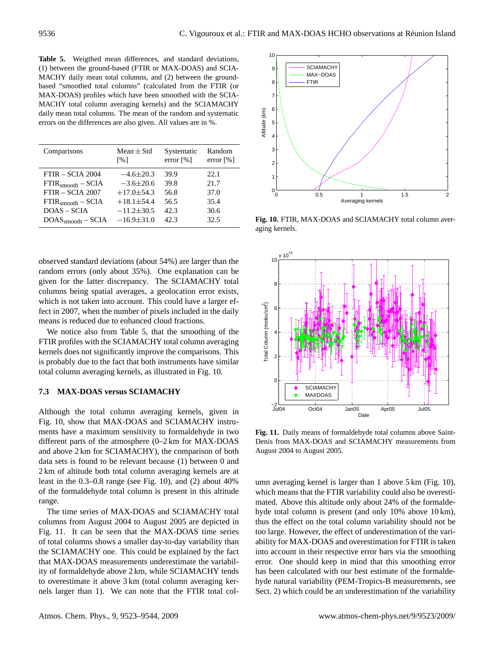<span id="page-13-1"></span>**Table 5.** Weigthed mean differences, and standard deviations, (1) between the ground-based (FTIR or MAX-DOAS) and SCIA-MACHY daily mean total columns, and (2) between the groundbased "smoothed total columns" (calculated from the FTIR (or MAX-DOAS) profiles which have been smoothed with the SCIA-MACHY total column averaging kernels) and the SCIAMACHY daily mean total columns. The mean of the random and systematic errors on the differences are also given. All values are in %.

| Comparisons         | Mean $\pm$ Std<br>[%] | Systematic<br>error $\lceil\% \rceil$ | Random<br>error $\lceil\% \rceil$ |
|---------------------|-----------------------|---------------------------------------|-----------------------------------|
| FTIR - SCIA 2004    | $-4.6 \pm 20.3$       | 39.9                                  | 22.1                              |
| $FTIRsmooth - SCHA$ | $-3.6 \pm 20.6$       | 39.8                                  | 21.7                              |
| $FTIR - SCIA 2007$  | $+17.0 \pm 54.3$      | 56.8                                  | 37.0                              |
| $FTIRsmooth - SCHA$ | $+18.1 \pm 54.4$      | 56.5                                  | 35.4                              |
| $DOAS - SCIA$       | $-11.2 \pm 30.5$      | 42.3                                  | 30.6                              |
| $DOASsmooth - SCHA$ | $-16.9 \pm 31.0$      | 42.3                                  | 32.5                              |

observed standard deviations (about 54%) are larger than the random errors (only about 35%). One explanation can be given for the latter discrepancy. The SCIAMACHY total columns being spatial averages, a geolocation error exists, which is not taken into account. This could have a larger effect in 2007, when the number of pixels included in the daily means is reduced due to enhanced cloud fractions.

We notice also from Table [5,](#page-13-1) that the smoothing of the FTIR profiles with the SCIAMACHY total column averaging kernels does not significantly improve the comparisons. This is probably due to the fact that both instruments have similar total column averaging kernels, as illustrated in Fig. [10.](#page-13-2)

# <span id="page-13-0"></span>**7.3 MAX-DOAS versus SCIAMACHY**

Although the total column averaging kernels, given in Fig. [10,](#page-13-2) show that MAX-DOAS and SCIAMACHY instruments have a maximum sensitivity to formaldehyde in two different parts of the atmosphere (0–2 km for MAX-DOAS and above 2 km for SCIAMACHY), the comparison of both data sets is found to be relevant because (1) between 0 and 2 km of altitude both total column averaging kernels are at least in the 0.3–0.8 range (see Fig. [10\)](#page-13-2), and (2) about 40% of the formaldehyde total column is present in this altitude range.

The time series of MAX-DOAS and SCIAMACHY total columns from August 2004 to August 2005 are depicted in Fig. [11.](#page-13-3) It can be seen that the MAX-DOAS time series of total columns shows a smaller day-to-day variability than the SCIAMACHY one. This could be explained by the fact that MAX-DOAS measurements underestimate the variability of formaldehyde above 2 km, while SCIAMACHY tends to overestimate it above 3 km (total column averaging kernels larger than 1). We can note that the FTIR total col-



<span id="page-13-2"></span>**Fig. 10.** FTIR, MAX-DOAS and SCIAMACHY total column averaging kernels.



<span id="page-13-3"></span>**Fig. 11.** Daily means of formaldehyde total columns above Saint-Denis from MAX-DOAS and SCIAMACHY measurements from August 2004 to August 2005.

umn averaging kernel is larger than 1 above 5 km (Fig. [10\)](#page-13-2), which means that the FTIR variability could also be overestimated. Above this altitude only about 24% of the formaldehyde total column is present (and only 10% above 10 km), thus the effect on the total column variability should not be too large. However, the effect of underestimation of the variability for MAX-DOAS and overestimation for FTIR is taken into account in their respective error bars via the smoothing error. One should keep in mind that this smoothing error has been calculated with our best estimate of the formaldehyde natural variability (PEM-Tropics-B measurements, see Sect. [2\)](#page-1-0) which could be an underestimation of the variability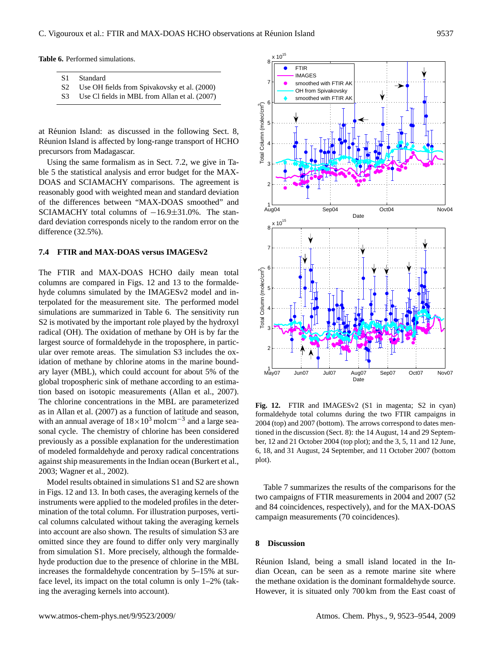**Table 6.** Performed simulations.

<span id="page-14-2"></span>

S2 Use OH fields from [Spivakovsky et al.](#page-20-21) [\(2000\)](#page-20-21)

at Réunion Island: as discussed in the following Sect. [8,](#page-14-0) Réunion Island is affected by long-range transport of HCHO precursors from Madagascar.

Using the same formalism as in Sect. [7.2,](#page-12-0) we give in Table [5](#page-13-1) the statistical analysis and error budget for the MAX-DOAS and SCIAMACHY comparisons. The agreement is reasonably good with weighted mean and standard deviation of the differences between "MAX-DOAS smoothed" and SCIAMACHY total columns of  $-16.9\pm31.0$ %. The standard deviation corresponds nicely to the random error on the difference (32.5%).

# **7.4 FTIR and MAX-DOAS versus IMAGESv2**

The FTIR and MAX-DOAS HCHO daily mean total columns are compared in Figs. [12](#page-14-1) and [13](#page-15-0) to the formaldehyde columns simulated by the IMAGESv2 model and interpolated for the measurement site. The performed model simulations are summarized in Table [6.](#page-14-2) The sensitivity run S2 is motivated by the important role played by the hydroxyl radical (OH). The oxidation of methane by OH is by far the largest source of formaldehyde in the troposphere, in particular over remote areas. The simulation S3 includes the oxidation of methane by chlorine atoms in the marine boundary layer (MBL), which could account for about 5% of the global tropospheric sink of methane according to an estimation based on isotopic measurements [\(Allan et al.,](#page-18-8) [2007\)](#page-18-8). The chlorine concentrations in the MBL are parameterized as in [Allan et al.](#page-18-8) [\(2007\)](#page-18-8) as a function of latitude and season, with an annual average of  $18 \times 10^3$  molcm<sup>-3</sup> and a large seasonal cycle. The chemistry of chlorine has been considered previously as a possible explanation for the underestimation of modeled formaldehyde and peroxy radical concentrations against ship measurements in the Indian ocean [\(Burkert et al.,](#page-18-9) [2003;](#page-18-9) [Wagner et al.,](#page-21-15) [2002\)](#page-21-15).

Model results obtained in simulations S1 and S2 are shown in Figs. [12](#page-14-1) and [13.](#page-15-0) In both cases, the averaging kernels of the instruments were applied to the modeled profiles in the determination of the total column. For illustration purposes, vertical columns calculated without taking the averaging kernels into account are also shown. The results of simulation S3 are omitted since they are found to differ only very marginally from simulation S1. More precisely, although the formaldehyde production due to the presence of chlorine in the MBL increases the formaldehyde concentration by 5–15% at surface level, its impact on the total column is only 1–2% (taking the averaging kernels into account).



<span id="page-14-1"></span>Fig. 12. FTIR and IMAGESv2 (S1 in magenta; S2 in cyan) formaldehyde total columns during the two FTIR campaigns in 2004 (top) and 2007 (bottom). The arrows correspond to dates mentioned in the discussion (Sect. [8\)](#page-14-0): the 14 August, 14 and 29 September, 12 and 21 October 2004 (top plot); and the 3, 5, 11 and 12 June, 6, 18, and 31 August, 24 September, and 11 October 2007 (bottom plot).

Table [7](#page-15-1) summarizes the results of the comparisons for the two campaigns of FTIR measurements in 2004 and 2007 (52 and 84 coincidences, respectively), and for the MAX-DOAS campaign measurements (70 coincidences).

## <span id="page-14-0"></span>**8 Discussion**

Réunion Island, being a small island located in the Indian Ocean, can be seen as a remote marine site where the methane oxidation is the dominant formaldehyde source. However, it is situated only 700 km from the East coast of

S3 Use Cl fields in MBL from [Allan et al.](#page-18-8) [\(2007\)](#page-18-8)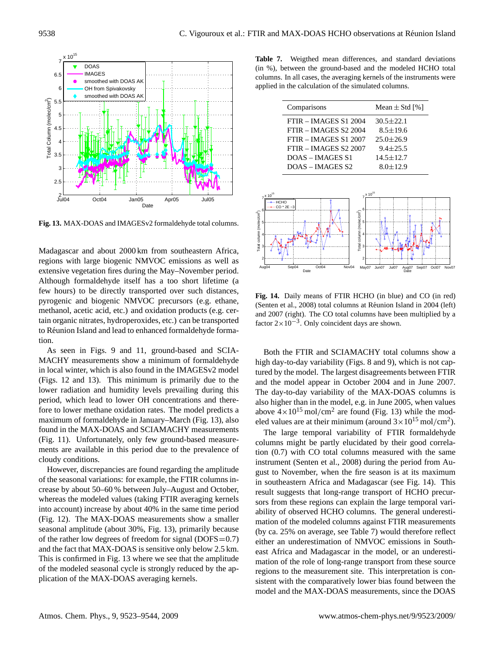

<span id="page-15-0"></span>**Fig. 13.** MAX-DOAS and IMAGESv2 formaldehyde total columns.

Madagascar and about 2000 km from southeastern Africa, regions with large biogenic NMVOC emissions as well as extensive vegetation fires during the May–November period. Although formaldehyde itself has a too short lifetime (a few hours) to be directly transported over such distances, pyrogenic and biogenic NMVOC precursors (e.g. ethane, methanol, acetic acid, etc.) and oxidation products (e.g. certain organic nitrates, hydroperoxides, etc.) can be transported to Réunion Island and lead to enhanced formaldehyde formation.

As seen in Figs. [9](#page-10-2) and [11,](#page-13-3) ground-based and SCIA-MACHY measurements show a minimum of formaldehyde in local winter, which is also found in the IMAGESv2 model (Figs. [12](#page-14-1) and [13\)](#page-15-0). This minimum is primarily due to the lower radiation and humidity levels prevailing during this period, which lead to lower OH concentrations and therefore to lower methane oxidation rates. The model predicts a maximum of formaldehyde in January–March (Fig. [13\)](#page-15-0), also found in the MAX-DOAS and SCIAMACHY measurements (Fig. [11\)](#page-13-3). Unfortunately, only few ground-based measurements are available in this period due to the prevalence of cloudy conditions.

However, discrepancies are found regarding the amplitude of the seasonal variations: for example, the FTIR columns increase by about 50–60 % between July–August and October, whereas the modeled values (taking FTIR averaging kernels into account) increase by about 40% in the same time period (Fig. [12\)](#page-14-1). The MAX-DOAS measurements show a smaller seasonal amplitude (about 30%, Fig. [13\)](#page-15-0), primarily because of the rather low degrees of freedom for signal ( $DOFS=0.7$ ) and the fact that MAX-DOAS is sensitive only below 2.5 km. This is confirmed in Fig. [13](#page-15-0) where we see that the amplitude of the modeled seasonal cycle is strongly reduced by the application of the MAX-DOAS averaging kernels.

<span id="page-15-1"></span>**Table 7.** Weigthed mean differences, and standard deviations (in %), between the ground-based and the modeled HCHO total columns. In all cases, the averaging kernels of the instruments were applied in the calculation of the simulated columns.

| Comparisons             | Mean $\pm$ Std [%] |
|-------------------------|--------------------|
| $FTIR - IMAGESS 1 2004$ | $30.5 \pm 22.1$    |
| $FTIR - IMAGESS 22004$  | $8.5 \pm 19.6$     |
| $FTIR - IMAGESS1 2007$  | $25.0 \pm 26.9$    |
| $FTIR - IMAGESS 22007$  | $9.4 \pm 25.5$     |
| DOAS – IMAGES S1        | $14.5 \pm 12.7$    |
| DOAS – IMAGES S2        | $8.0 \pm 12.9$     |
|                         |                    |



<span id="page-15-2"></span>**Fig. 14.** Daily means of FTIR HCHO (in blue) and CO (in red) [\(Senten et al.,](#page-20-7) [2008\)](#page-20-7) total columns at Réunion Island in 2004 (left) and 2007 (right). The CO total columns have been multiplied by a factor  $2 \times 10^{-3}$ . Only coincident days are shown.

Both the FTIR and SCIAMACHY total columns show a high day-to-day variability (Figs. [8](#page-10-1) and [9\)](#page-10-2), which is not captured by the model. The largest disagreements between FTIR and the model appear in October 2004 and in June 2007. The day-to-day variability of the MAX-DOAS columns is also higher than in the model, e.g. in June 2005, when values above  $4 \times 10^{15}$  mol/cm<sup>2</sup> are found (Fig. [13\)](#page-15-0) while the modeled values are at their minimum (around  $3 \times 10^{15}$  mol/cm<sup>2</sup>).

The large temporal variability of FTIR formaldehyde columns might be partly elucidated by their good correlation (0.7) with CO total columns measured with the same instrument [\(Senten et al.,](#page-20-7) [2008\)](#page-20-7) during the period from August to November, when the fire season is at its maximum in southeastern Africa and Madagascar (see Fig. [14\)](#page-15-2). This result suggests that long-range transport of HCHO precursors from these regions can explain the large temporal variability of observed HCHO columns. The general underestimation of the modeled columns against FTIR measurements (by ca. 25% on average, see Table [7\)](#page-15-1) would therefore reflect either an underestimation of NMVOC emissions in Southeast Africa and Madagascar in the model, or an underestimation of the role of long-range transport from these source regions to the measurement site. This interpretation is consistent with the comparatively lower bias found between the model and the MAX-DOAS measurements, since the DOAS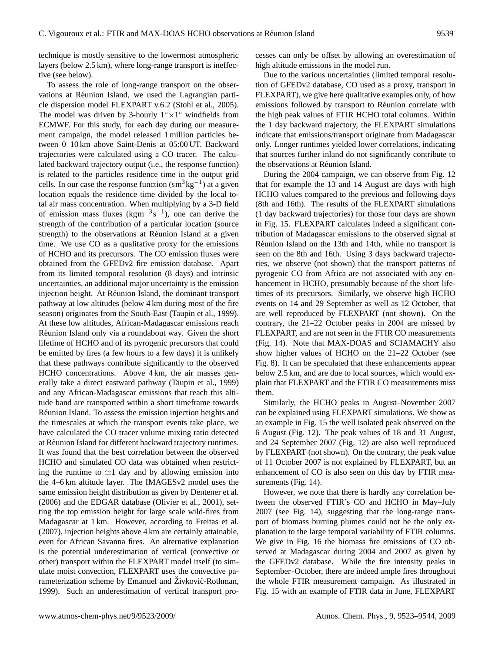technique is mostly sensitive to the lowermost atmospheric layers (below 2.5 km), where long-range transport is ineffective (see below).

To assess the role of long-range transport on the observations at Réunion Island, we used the Lagrangian particle dispersion model FLEXPART v.6.2 [\(Stohl et al.,](#page-21-16) [2005\)](#page-21-16). The model was driven by 3-hourly  $1° \times 1°$  windfields from ECMWF. For this study, for each day during our measurement campaign, the model released 1 million particles between 0–10 km above Saint-Denis at 05:00 UT. Backward trajectories were calculated using a CO tracer. The calculated backward trajectory output (i.e., the response function) is related to the particles residence time in the output grid cells. In our case the response function  $\text{(sm}^3\text{kg}^{-1})$  at a given location equals the residence time divided by the local total air mass concentration. When multiplying by a 3-D field of emission mass fluxes ( $kgm^{-3} s^{-1}$ ), one can derive the strength of the contribution of a particular location (source strength) to the observations at Réunion Island at a given time. We use CO as a qualitative proxy for the emissions of HCHO and its precursors. The CO emission fluxes were obtained from the GFEDv2 fire emission database. Apart from its limited temporal resolution (8 days) and intrinsic uncertainties, an additional major uncertainty is the emission injection height. At Réunion Island, the dominant transport pathway at low altitudes (below 4 km during most of the fire season) originates from the South-East [\(Taupin et al.,](#page-21-17) [1999\)](#page-21-17). At these low altitudes, African-Madagascar emissions reach Réunion Island only via a roundabout way. Given the short lifetime of HCHO and of its pyrogenic precursors that could be emitted by fires (a few hours to a few days) it is unlikely that these pathways contribute significantly to the observed HCHO concentrations. Above 4 km, the air masses generally take a direct eastward pathway [\(Taupin et al.,](#page-21-17) [1999\)](#page-21-17) and any African-Madagascar emissions that reach this altitude band are transported within a short timeframe towards Réunion Island. To assess the emission injection heights and the timescales at which the transport events take place, we have calculated the CO tracer volume mixing ratio detected at Réunion Island for different backward trajectory runtimes. It was found that the best correlation between the observed HCHO and simulated CO data was obtained when restricting the runtime to  $\simeq$ 1 day and by allowing emission into the 4–6 km altitude layer. The IMAGESv2 model uses the same emission height distribution as given by [Dentener et al.](#page-18-6) [\(2006\)](#page-18-6) and the EDGAR database [\(Olivier et al.,](#page-20-19) [2001\)](#page-20-19), setting the top emission height for large scale wild-fires from Madagascar at 1 km. However, according to [Freitas et al.](#page-19-24) [\(2007\)](#page-19-24), injection heights above 4 km are certainly attainable, even for African Savanna fires. An alternative explanation is the potential underestimation of vertical (convective or other) transport within the FLEXPART model itself (to simulate moist convection, FLEXPART uses the convective pa-rameterization scheme by [Emanuel and](#page-19-25) Živković-Rothman, [1999\)](#page-19-25). Such an underestimation of vertical transport processes can only be offset by allowing an overestimation of high altitude emissions in the model run.

Due to the various uncertainties (limited temporal resolution of GFEDv2 database, CO used as a proxy, transport in FLEXPART), we give here qualitative examples only, of how emissions followed by transport to Réunion correlate with the high peak values of FTIR HCHO total columns. Within the 1 day backward trajectory, the FLEXPART simulations indicate that emissions/transport originate from Madagascar only. Longer runtimes yielded lower correlations, indicating that sources further inland do not significantly contribute to the observations at Reunion Island. ´

During the 2004 campaign, we can observe from Fig. [12](#page-14-1) that for example the 13 and 14 August are days with high HCHO values compared to the previous and following days (8th and 16th). The results of the FLEXPART simulations (1 day backward trajectories) for those four days are shown in Fig. [15.](#page-17-0) FLEXPART calculates indeed a significant contribution of Madagascar emissions to the observed signal at Réunion Island on the 13th and 14th, while no transport is seen on the 8th and 16th. Using 3 days backward trajectories, we observe (not shown) that the transport patterns of pyrogenic CO from Africa are not associated with any enhancement in HCHO, presumably because of the short lifetimes of its precursors. Similarly, we observe high HCHO events on 14 and 29 September as well as 12 October, that are well reproduced by FLEXPART (not shown). On the contrary, the 21–22 October peaks in 2004 are missed by FLEXPART, and are not seen in the FTIR CO measurements (Fig. [14\)](#page-15-2). Note that MAX-DOAS and SCIAMACHY also show higher values of HCHO on the 21–22 October (see Fig. [8\)](#page-10-1). It can be speculated that these enhancements appear below 2.5 km, and are due to local sources, which would explain that FLEXPART and the FTIR CO measurements miss them.

Similarly, the HCHO peaks in August–November 2007 can be explained using FLEXPART simulations. We show as an example in Fig. [15](#page-17-0) the well isolated peak observed on the 6 August (Fig. [12\)](#page-14-1). The peak values of 18 and 31 August, and 24 September 2007 (Fig. [12\)](#page-14-1) are also well reproduced by FLEXPART (not shown). On the contrary, the peak value of 11 October 2007 is not explained by FLEXPART, but an enhancement of CO is also seen on this day by FTIR measurements (Fig. [14\)](#page-15-2).

However, we note that there is hardly any correlation between the observed FTIR's CO and HCHO in May–July 2007 (see Fig. [14\)](#page-15-2), suggesting that the long-range transport of biomass burning plumes could not be the only explanation to the large temporal variability of FTIR columns. We give in Fig. [16](#page-17-1) the biomass fire emissions of CO observed at Madagascar during 2004 and 2007 as given by the GFEDv2 database. While the fire intensity peaks in September–October, there are indeed ample fires throughout the whole FTIR measurement campaign. As illustrated in Fig. [15](#page-17-0) with an example of FTIR data in June, FLEXPART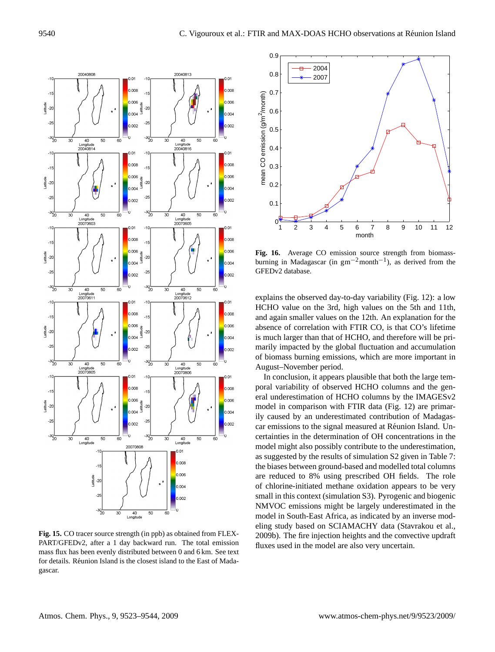

<span id="page-17-0"></span>**Fig. 15.** CO tracer source strength (in ppb) as obtained from FLEX-PART/GFEDv2, after a 1 day backward run. The total emission mass flux has been evenly distributed between 0 and 6 km. See text for details. Réunion Island is the closest island to the East of Madagascar.



<span id="page-17-1"></span>**Fig. 16.** Average CO emission source strength from biomassburning in Madagascar (in  $gm^{-2}$ month<sup>-1</sup>), as derived from the GFEDv2 database.

explains the observed day-to-day variability (Fig. [12\)](#page-14-1): a low HCHO value on the 3rd, high values on the 5th and 11th, and again smaller values on the 12th. An explanation for the absence of correlation with FTIR CO, is that CO's lifetime is much larger than that of HCHO, and therefore will be primarily impacted by the global fluctuation and accumulation of biomass burning emissions, which are more important in August–November period.

In conclusion, it appears plausible that both the large temporal variability of observed HCHO columns and the general underestimation of HCHO columns by the IMAGESv2 model in comparison with FTIR data (Fig. [12\)](#page-14-1) are primarily caused by an underestimated contribution of Madagascar emissions to the signal measured at Réunion Island. Uncertainties in the determination of OH concentrations in the model might also possibly contribute to the underestimation, as suggested by the results of simulation S2 given in Table [7:](#page-15-1) the biases between ground-based and modelled total columns are reduced to 8% using prescribed OH fields. The role of chlorine-initiated methane oxidation appears to be very small in this context (simulation S3). Pyrogenic and biogenic NMVOC emissions might be largely underestimated in the model in South-East Africa, as indicated by an inverse modeling study based on SCIAMACHY data [\(Stavrakou et al.,](#page-20-1) [2009b\)](#page-20-1). The fire injection heights and the convective updraft fluxes used in the model are also very uncertain.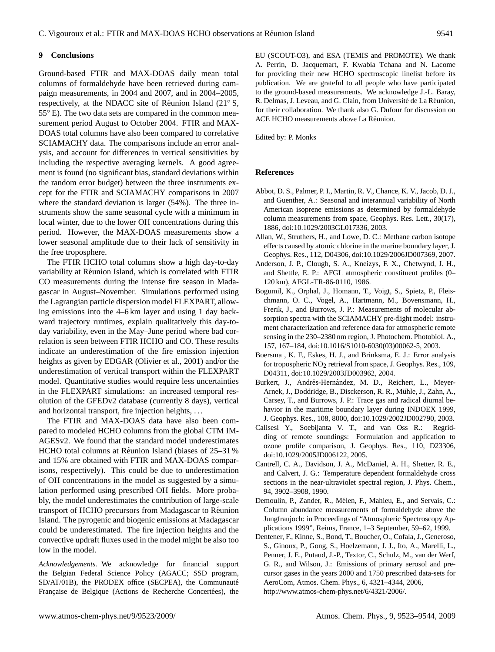#### **9 Conclusions**

Ground-based FTIR and MAX-DOAS daily mean total columns of formaldehyde have been retrieved during campaign measurements, in 2004 and 2007, and in 2004–2005, respectively, at the NDACC site of Réunion Island (21° S, 55◦ E). The two data sets are compared in the common measurement period August to October 2004. FTIR and MAX-DOAS total columns have also been compared to correlative SCIAMACHY data. The comparisons include an error analysis, and account for differences in vertical sensitivities by including the respective averaging kernels. A good agreement is found (no significant bias, standard deviations within the random error budget) between the three instruments except for the FTIR and SCIAMACHY comparisons in 2007 where the standard deviation is larger (54%). The three instruments show the same seasonal cycle with a minimum in local winter, due to the lower OH concentrations during this period. However, the MAX-DOAS measurements show a lower seasonal amplitude due to their lack of sensitivity in the free troposphere.

The FTIR HCHO total columns show a high day-to-day variability at Reunion Island, which is correlated with FTIR ´ CO measurements during the intense fire season in Madagascar in August–November. Simulations performed using the Lagrangian particle dispersion model FLEXPART, allowing emissions into the 4–6 km layer and using 1 day backward trajectory runtimes, explain qualitatively this day-today variability, even in the May–June period where bad correlation is seen between FTIR HCHO and CO. These results indicate an underestimation of the fire emission injection heights as given by EDGAR [\(Olivier et al.,](#page-20-19) [2001\)](#page-20-19) and/or the underestimation of vertical transport within the FLEXPART model. Quantitative studies would require less uncertainties in the FLEXPART simulations: an increased temporal resolution of the GFEDv2 database (currently 8 days), vertical and horizontal transport, fire injection heights, . . .

The FTIR and MAX-DOAS data have also been compared to modeled HCHO columns from the global CTM IM-AGESv2. We found that the standard model underestimates HCHO total columns at Réunion Island (biases of 25–31 % and 15% are obtained with FTIR and MAX-DOAS comparisons, respectively). This could be due to underestimation of OH concentrations in the model as suggested by a simulation performed using prescribed OH fields. More probably, the model underestimates the contribution of large-scale transport of HCHO precursors from Madagascar to Reunion ´ Island. The pyrogenic and biogenic emissions at Madagascar could be underestimated. The fire injection heights and the convective updraft fluxes used in the model might be also too low in the model.

*Acknowledgements.* We acknowledge for financial support the Belgian Federal Science Policy (AGACC; SSD program, SD/AT/01B), the PRODEX office (SECPEA), the Communauté Française de Belgique (Actions de Recherche Concertées), the EU (SCOUT-O3), and ESA (TEMIS and PROMOTE). We thank A. Perrin, D. Jacquemart, F. Kwabia Tchana and N. Lacome for providing their new HCHO spectroscopic linelist before its publication. We are grateful to all people who have participated to the ground-based measurements. We acknowledge J.-L. Baray, R. Delmas, J. Leveau, and G. Clain, from Université de La Réunion, for their collaboration. We thank also G. Dufour for discussion on ACE HCHO measurements above La Réunion.

Edited by: P. Monks

#### **References**

- <span id="page-18-0"></span>Abbot, D. S., Palmer, P. I., Martin, R. V., Chance, K. V., Jacob, D. J., and Guenther, A.: Seasonal and interannual variability of North American isoprene emissions as determined by formaldehyde column measurements from space, Geophys. Res. Lett., 30(17), 1886, doi:10.1029/2003GL017336, 2003.
- <span id="page-18-8"></span>Allan, W., Struthers, H., and Lowe, D. C.: Methane carbon isotope effects caused by atomic chlorine in the marine boundary layer, J. Geophys. Res., 112, D04306, doi:10.1029/2006JD007369, 2007.
- <span id="page-18-3"></span>Anderson, J. P., Clough, S. A., Kneizys, F. X., Chetwynd, J. H., and Shettle, E. P.: AFGL atmospheric constituent profiles (0– 120 km), AFGL-TR-86-0110, 1986.
- <span id="page-18-2"></span>Bogumil, K., Orphal, J., Homann, T., Voigt, S., Spietz, P., Fleischmann, O. C., Vogel, A., Hartmann, M., Bovensmann, H., Frerik, J., and Burrows, J. P.: Measurements of molecular absorption spectra with the SCIAMACHY pre-flight model: instrument characterization and reference data for atmospheric remote sensing in the 230–2380 nm region, J. Photochem. Photobiol. A., 157, 167–184, doi:10.1016/S1010-6030(03)00062-5, 2003.
- <span id="page-18-5"></span>Boersma , K. F., Eskes, H. J., and Brinksma, E. J.: Error analysis for tropospheric  $NO<sub>2</sub>$  retrieval from space, J. Geophys. Res., 109, D04311, doi:10.1029/2003JD003962, 2004.
- <span id="page-18-9"></span>Burkert, J., Andrés-Hernández, M. D., Reichert, L., Meyer-Arnek, J., Doddridge, B., Disckerson, R. R., Muhle, J., Zahn, A., ¨ Carsey, T., and Burrows, J. P.: Trace gas and radical diurnal behavior in the maritime boundary layer during INDOEX 1999, J. Geophys. Res., 108, 8000, doi:10.1029/2002JD002790, 2003.
- <span id="page-18-7"></span>Calisesi Y., Soebijanta V. T., and van Oss R.: Regridding of remote soundings: Formulation and application to ozone profile comparison, J. Geophys. Res., 110, D23306, doi:10.1029/2005JD006122, 2005.
- <span id="page-18-4"></span>Cantrell, C. A., Davidson, J. A., McDaniel, A. H., Shetter, R. E., and Calvert, J. G.: Temperature dependent formaldehyde cross sections in the near-ultraviolet spectral region, J. Phys. Chem., 94, 3902–3908, 1990.
- <span id="page-18-1"></span>Demoulin, P., Zander, R., Melen, F., Mahieu, E., and Servais, C.: ´ Column abundance measurements of formaldehyde above the Jungfraujoch: in Proceedings of "Atmospheric Spectroscopy Applications 1999", Reims, France, 1–3 September, 59–62, 1999.
- <span id="page-18-6"></span>Dentener, F., Kinne, S., Bond, T., Boucher, O., Cofala, J., Generoso, S., Ginoux, P., Gong, S., Hoelzemann, J. J., Ito, A., Marelli, L., Penner, J. E., Putaud, J.-P., Textor, C., Schulz, M., van der Werf, G. R., and Wilson, J.: Emissions of primary aerosol and precursor gases in the years 2000 and 1750 prescribed data-sets for AeroCom, Atmos. Chem. Phys., 6, 4321–4344, 2006, [http://www.atmos-chem-phys.net/6/4321/2006/.](http://www.atmos-chem-phys.net/6/4321/2006/)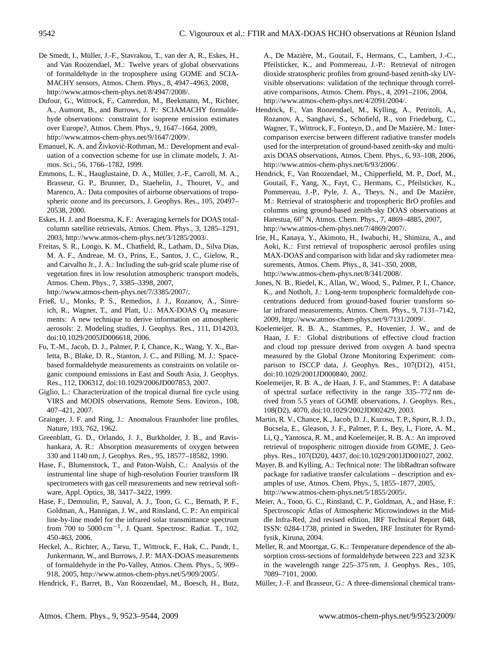- <span id="page-19-0"></span>De Smedt, I., Muller, J.-F., Stavrakou, T., van der A, R., Eskes, H., ¨ and Van Roozendael, M.: Twelve years of global observations of formaldehyde in the troposphere using GOME and SCIA-MACHY sensors, Atmos. Chem. Phys., 8, 4947–4963, 2008, [http://www.atmos-chem-phys.net/8/4947/2008/.](http://www.atmos-chem-phys.net/8/4947/2008/)
- <span id="page-19-1"></span>Dufour, G., Wittrock, F., Camredon, M., Beekmann, M., Richter, A., Aumont, B., and Burrows, J. P.: SCIAMACHY formaldehyde observations: constraint for isoprene emission estimates over Europe?, Atmos. Chem. Phys., 9, 1647–1664, 2009, [http://www.atmos-chem-phys.net/9/1647/2009/.](http://www.atmos-chem-phys.net/9/1647/2009/)
- <span id="page-19-25"></span>Emanuel, K. A. and Živković-Rothman, M.: Development and evaluation of a convection scheme for use in climate models, J. Atmos. Sci., 56, 1766–1782, 1999.
- <span id="page-19-4"></span>Emmons, L. K., Hauglustaine, D. A., Müller, J.-F., Carroll, M. A., Brasseur, G. P., Brunner, D., Staehelin, J., Thouret, V., and Marenco, A.: Data composites of airborne observations of tropospheric ozone and its precursors, J. Geophys. Res., 105, 20497– 20538, 2000.
- <span id="page-19-23"></span>Eskes, H. J. and Boersma, K. F.: Averaging kernels for DOAS totalcolumn satellite retrievals, Atmos. Chem. Phys., 3, 1285–1291, 2003, [http://www.atmos-chem-phys.net/3/1285/2003/.](http://www.atmos-chem-phys.net/3/1285/2003/)
- <span id="page-19-24"></span>Freitas, S. R., Longo, K. M., Chatfield, R., Latham, D., Silva Dias, M. A. F., Andreae, M. O., Prins, E., Santos, J. C., Gielow, R., and Carvalho Jr., J. A.: Including the sub-grid scale plume rise of vegetation fires in low resolution atmospheric transport models, Atmos. Chem. Phys., 7, 3385–3398, 2007, [http://www.atmos-chem-phys.net/7/3385/2007/.](http://www.atmos-chem-phys.net/7/3385/2007/)
- <span id="page-19-16"></span>Frieß, U., Monks, P. S., Remedios, J. J., Rozanov, A., Sinreich, R., Wagner, T., and Platt, U.: MAX-DOAS  $O_4$  measurements: A new technique to derive information on atmospheric aerosols: 2. Modeling studies, J. Geophys. Res., 111, D14203, doi:10.1029/2005JD006618, 2006.
- <span id="page-19-20"></span>Fu, T.-M., Jacob, D. J., Palmer, P. I, Chance, K., Wang, Y. X., Barletta, B., Blake, D. R., Stanton, J. C., and Pilling, M. J.: Spacebased formaldehyde measurements as constraints on volatile organic compound emissions in East and South Asia, J. Geophys. Res., 112, D06312, doi:10.1029/2006JD007853, 2007.
- <span id="page-19-22"></span>Giglio, L.: Characterization of the tropical diurnal fire cycle using VIRS and MODIS observations, Remote Sens. Environ., 108, 407–421, 2007.
- <span id="page-19-10"></span>Grainger, J. F. and Ring, J.: Anomalous Fraunhofer line profiles, Nature, 193, 762, 1962.
- <span id="page-19-9"></span>Greenblatt, G. D., Orlando, J. J., Burkholder, J. B., and Ravishankara, A. R.: Absorption measurements of oxygen between 330 and 1140 nm, J. Geophys. Res., 95, 18577–18582, 1990.
- <span id="page-19-5"></span>Hase, F., Blumenstock, T., and Paton-Walsh, C.: Analysis of the instrumental line shape of high-resolution Fourier transform IR spectrometers with gas cell measurements and new retrieval software, Appl. Optics, 38, 3417–3422, 1999.
- <span id="page-19-7"></span>Hase, F., Demoulin, P., Sauval, A. J., Toon, G. C., Bernath, P. F., Goldman, A., Hannigan, J. W., and Rinsland, C. P.: An empirical line-by-line model for the infrared solar transmittance spectrum from  $700$  to  $5000 \text{ cm}^{-1}$ , J. Quant. Spectrosc. Radiat. T., 102, 450-463, 2006.
- <span id="page-19-3"></span>Heckel, A., Richter, A., Tarsu, T., Wittrock, F., Hak, C., Pundt, I., Junkermann, W., and Burrows, J. P.: MAX-DOAS measurements of formaldehyde in the Po-Valley, Atmos. Chem. Phys., 5, 909– 918, 2005, [http://www.atmos-chem-phys.net/5/909/2005/.](http://www.atmos-chem-phys.net/5/909/2005/)

<span id="page-19-11"></span>Hendrick, F., Barret, B., Van Roozendael, M., Boesch, H., Butz,

A., De Maziere, M., Goutail, F., Hermans, C., Lambert, J.-C., ` Pfeilsticker, K., and Pommereau, J.-P.: Retrieval of nitrogen dioxide stratospheric profiles from ground-based zenith-sky UVvisible observations: validation of the technique through correlative comparisons, Atmos. Chem. Phys., 4, 2091–2106, 2004, [http://www.atmos-chem-phys.net/4/2091/2004/.](http://www.atmos-chem-phys.net/4/2091/2004/)

- <span id="page-19-14"></span>Hendrick, F., Van Roozendael, M., Kylling, A., Petritoli, A., Rozanov, A., Sanghavi, S., Schofield, R., von Friedeburg, C., Wagner, T., Wittrock, F., Fonteyn, D., and De Mazière, M.: Intercomparison exercise between different radiative transfer models used for the interpretation of ground-based zenith-sky and multiaxis DOAS observations, Atmos. Chem. Phys., 6, 93–108, 2006, [http://www.atmos-chem-phys.net/6/93/2006/.](http://www.atmos-chem-phys.net/6/93/2006/)
- <span id="page-19-12"></span>Hendrick, F., Van Roozendael, M., Chipperfield, M. P., Dorf, M., Goutail, F., Yang, X., Fayt, C., Hermans, C., Pfeilsticker, K., Pommereau, J.-P., Pyle, J. A., Theys, N., and De Mazière, M.: Retrieval of stratospheric and tropospheric BrO profiles and columns using ground-based zenith-sky DOAS observations at Harestua, 60◦ N, Atmos. Chem. Phys., 7, 4869–4885, 2007, [http://www.atmos-chem-phys.net/7/4869/2007/.](http://www.atmos-chem-phys.net/7/4869/2007/)
- <span id="page-19-17"></span>Irie, H., Kanaya, Y., Akimoto, H., Iwabuchi, H., Shimizu, A., and Aoki, K.: First retrieval of tropospheric aerosol profiles using MAX-DOAS and comparison with lidar and sky radiometer measurements, Atmos. Chem. Phys., 8, 341–350, 2008, [http://www.atmos-chem-phys.net/8/341/2008/.](http://www.atmos-chem-phys.net/8/341/2008/)
- <span id="page-19-2"></span>Jones, N. B., Riedel, K., Allan, W., Wood, S., Palmer, P. I., Chance, K., and Notholt, J.: Long-term tropospheric formaldehyde concentrations deduced from ground-based fourier transform solar infrared measurements, Atmos. Chem. Phys., 9, 7131–7142, 2009, [http://www.atmos-chem-phys.net/9/7131/2009/.](http://www.atmos-chem-phys.net/9/7131/2009/)
- <span id="page-19-19"></span>Koelemeijer, R. B. A., Stammes, P., Hovenier, J. W., and de Haan, J. F.: Global distributions of effective cloud fraction and cloud top pressure derived from oxygen A band spectra measured by the Global Ozone Monitoring Experiment: comparison to ISCCP data, J. Geophys. Res., 107(D12), 4151, doi:10.1029/2001JD000840, 2002.
- <span id="page-19-15"></span>Koelemeijer, R. B. A., de Haan, J. F., and Stammes, P.: A database of spectral surface reflectivity in the range 335–772 nm derived from 5.5 years of GOME observations, J. Geophys. Res., 108(D2), 4070, doi:10.1029/2002JD002429, 2003.
- <span id="page-19-18"></span>Martin, R. V., Chance, K., Jacob, D. J., Kurosu, T. P., Spurr, R. J. D., Bucsela, E., Gleason, J. F., Palmer, P. I., Bey, I., Fiore, A. M., Li, Q., Yantosca, R. M., and Koelemeijer, R. B. A.: An improved retrieval of tropospheric nitrogen dioxide from GOME, J. Geophys. Res., 107(D20), 4437, doi:10.1029/2001JD001027, 2002.
- <span id="page-19-13"></span>Mayer, B. and Kylling, A.: Technical note: The libRadtran software package for radiative transfer calculations – description and examples of use, Atmos. Chem. Phys., 5, 1855–1877, 2005, [http://www.atmos-chem-phys.net/5/1855/2005/.](http://www.atmos-chem-phys.net/5/1855/2005/)
- <span id="page-19-6"></span>Meier, A., Toon, G. C., Rinsland, C. P., Goldman, A., and Hase, F.: Spectroscopic Atlas of Atmospheric Microwindows in the Middle Infra-Red, 2nd revised edition, IRF Technical Report 048, ISSN: 0284-1738, printed in Sweden, IRF Institutet för Rymdfysik, Kiruna, 2004.
- <span id="page-19-8"></span>Meller, R. and Moortgat, G. K.: Temperature dependence of the absorption cross-sections of formaldehyde between 223 and 323 K in the wavelength range 225–375 nm, J. Geophys. Res., 105, 7089–7101, 2000.
- <span id="page-19-21"></span>Müller, J.-F. and Brasseur, G.: A three-dimensional chemical trans-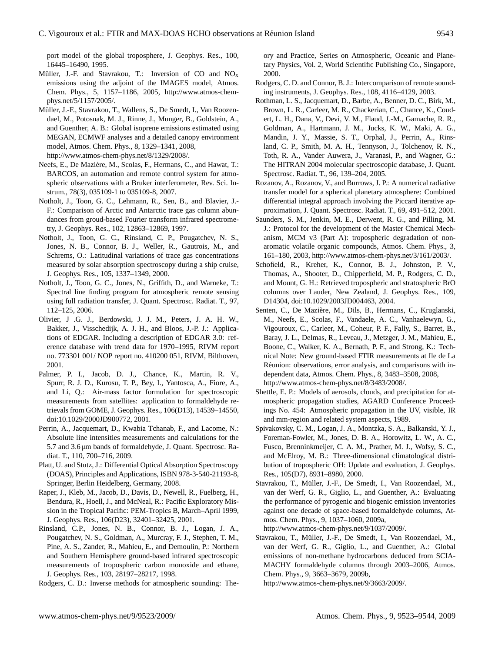port model of the global troposphere, J. Geophys. Res., 100, 16445–16490, 1995.

- <span id="page-20-17"></span>Müller, J.-F. and Stavrakou, T.: Inversion of CO and  $NO<sub>x</sub>$ emissions using the adjoint of the IMAGES model, Atmos. Chem. Phys., 5, 1157–1186, 2005, [http://www.atmos-chem](http://www.atmos-chem-phys.net/5/1157/2005/)[phys.net/5/1157/2005/.](http://www.atmos-chem-phys.net/5/1157/2005/)
- <span id="page-20-20"></span>Müller, J.-F., Stavrakou, T., Wallens, S., De Smedt, I., Van Roozendael, M., Potosnak, M. J., Rinne, J., Munger, B., Goldstein, A., and Guenther, A. B.: Global isoprene emissions estimated using MEGAN, ECMWF analyses and a detailed canopy environment model, Atmos. Chem. Phys., 8, 1329–1341, 2008, [http://www.atmos-chem-phys.net/8/1329/2008/.](http://www.atmos-chem-phys.net/8/1329/2008/)
- <span id="page-20-6"></span>Neefs, E., De Mazière, M., Scolas, F., Hermans, C., and Hawat, T.: BARCOS, an automation and remote control system for atmospheric observations with a Bruker interferometer, Rev. Sci. Instrum., 78(3), 035109-1 to 035109-8, 2007.
- <span id="page-20-2"></span>Notholt, J., Toon, G. C., Lehmann, R., Sen, B., and Blavier, J.- F.: Comparison of Arctic and Antarctic trace gas column abundances from groud-based Fourier transform infrared spectrometry, J. Geophys. Res., 102, 12863–12869, 1997.
- <span id="page-20-3"></span>Notholt, J., Toon, G. C., Rinsland, C. P., Pougatchev, N. S., Jones, N. B., Connor, B. J., Weller, R., Gautrois, M., and Schrems, O.: Latitudinal variations of trace gas concentrations measured by solar absorption spectroscopy during a ship cruise, J. Geophys. Res., 105, 1337–1349, 2000.
- <span id="page-20-9"></span>Notholt, J., Toon, G. C., Jones, N., Griffith, D., and Warneke, T.: Spectral line finding program for atmospheric remote sensing using full radiation transfer, J. Quant. Spectrosc. Radiat. T., 97, 112–125, 2006.
- <span id="page-20-19"></span>Olivier, J .G. J., Berdowski, J. J. M., Peters, J. A. H. W., Bakker, J., Visschedijk, A. J. H., and Bloos, J.-P. J.: Applications of EDGAR. Including a description of EDGAR 3.0: reference database with trend data for 1970–1995, RIVM report no. 773301 001/ NOP report no. 410200 051, RIVM, Bilthoven, 2001.
- <span id="page-20-16"></span>Palmer, P. I., Jacob, D. J., Chance, K., Martin, R. V., Spurr, R. J. D., Kurosu, T. P., Bey, I., Yantosca, A., Fiore, A., and Li, Q.: Air-mass factor formulation for spectroscopic measurements from satellites: application to formaldehyde retrievals from GOME, J. Geophys. Res., 106(D13), 14539–14550, doi:10.1029/2000JD900772, 2001.
- <span id="page-20-11"></span>Perrin, A., Jacquemart, D., Kwabia Tchanab, F., and Lacome, N.: Absolute line intensities measurements and calculations for the 5.7 and 3.6  $\mu$ m bands of formaldehyde, J. Quant. Spectrosc. Radiat. T., 110, 700–716, 2009.
- <span id="page-20-12"></span>Platt, U. and Stutz, J.: Differential Optical Absorption Spectroscopy (DOAS), Principles and Applications, ISBN 978-3-540-21193-8, Springer, Berlin Heidelberg, Germany, 2008.
- <span id="page-20-5"></span>Raper, J., Kleb, M., Jacob, D., Davis, D., Newell, R., Fuelberg, H., Bendura, R., Hoell, J., and McNeal, R.: Pacific Exploratory Mission in the Tropical Pacific: PEM-Tropics B, March–April 1999, J. Geophys. Res., 106(D23), 32401–32425, 2001.
- <span id="page-20-8"></span>Rinsland, C.P., Jones, N. B., Connor, B. J., Logan, J. A., Pougatchev, N. S., Goldman, A., Murcray, F. J., Stephen, T. M., Pine, A. S., Zander, R., Mahieu, E., and Demoulin, P.: Northern and Southern Hemisphere ground-based infrared spectroscopic measurements of tropospheric carbon monoxide and ethane, J. Geophys. Res., 103, 28197–28217, 1998.
- <span id="page-20-4"></span>Rodgers, C. D.: Inverse methods for atmospheric sounding: The-

ory and Practice, Series on Atmospheric, Oceanic and Planetary Physics, Vol. 2, World Scientific Publishing Co., Singapore, 2000.

- <span id="page-20-22"></span>Rodgers, C. D. and Connor, B. J.: Intercomparison of remote sounding instruments, J. Geophys. Res., 108, 4116–4129, 2003.
- <span id="page-20-10"></span>Rothman, L. S., Jacquemart, D., Barbe, A., Benner, D. C., Birk, M., Brown, L. R., Carleer, M. R., Chackerian, C., Chance, K., Coudert, L. H., Dana, V., Devi, V. M., Flaud, J.-M., Gamache, R. R., Goldman, A., Hartmann, J. M., Jucks, K. W., Maki, A. G., Mandin, J. Y., Massie, S. T., Orphal, J., Perrin, A., Rinsland, C. P., Smith, M. A. H., Tennyson, J., Tolchenov, R. N., Toth, R. A., Vander Auwera, J., Varanasi, P., and Wagner, G.: The HITRAN 2004 molecular spectroscopic database, J. Quant. Spectrosc. Radiat. T., 96, 139–204, 2005.
- <span id="page-20-13"></span>Rozanov, A., Rozanov, V., and Burrows, J. P.: A numerical radiative transfer model for a spherical planetary atmosphere: Combined differential integral approach involving the Piccard iterative approximation, J. Quant. Spectrosc. Radiat. T., 69, 491–512, 2001.
- <span id="page-20-18"></span>Saunders, S. M., Jenkin, M. E., Derwent, R. G., and Pilling, M. J.: Protocol for the development of the Master Chemical Mechanism, MCM v3 (Part A): tropospheric degradation of nonaromatic volatile organic compounds, Atmos. Chem. Phys., 3, 161–180, 2003, [http://www.atmos-chem-phys.net/3/161/2003/.](http://www.atmos-chem-phys.net/3/161/2003/)
- <span id="page-20-14"></span>Schofield, R., Kreher, K., Connor, B. J., Johnston, P. V., Thomas, A., Shooter, D., Chipperfield, M. P., Rodgers, C. D., and Mount, G. H.: Retrieved tropospheric and stratospheric BrO columns over Lauder, New Zealand, J. Geophys. Res., 109, D14304, doi:10.1029/2003JD004463, 2004.
- <span id="page-20-7"></span>Senten, C., De Maziere, M., Dils, B., Hermans, C., Kruglanski, ` M., Neefs, E., Scolas, F., Vandaele, A. C., Vanhaelewyn, G., Vigouroux, C., Carleer, M., Coheur, P. F., Fally, S., Barret, B., Baray, J. L., Delmas, R., Leveau, J., Metzger, J. M., Mahieu, E., Boone, C., Walker, K. A., Bernath, P. F., and Strong, K.: Technical Note: New ground-based FTIR measurements at Ile de La Réunion: observations, error analysis, and comparisons with independent data, Atmos. Chem. Phys., 8, 3483–3508, 2008, [http://www.atmos-chem-phys.net/8/3483/2008/.](http://www.atmos-chem-phys.net/8/3483/2008/)
- <span id="page-20-15"></span>Shettle, E. P.: Models of aerosols, clouds, and precipitation for atmospheric propagation studies, AGARD Conference Proceedings No. 454: Atmospheric propagation in the UV, visible, IR and mm-region and related system aspects, 1989.
- <span id="page-20-21"></span>Spivakovsky, C. M., Logan, J. A., Montzka, S. A., Balkanski, Y. J., Foreman-Fowler, M., Jones, D. B. A., Horowitz, L. W., A. C., Fusco, Brenninkmeijer, C. A. M., Prather, M. J., Wofsy, S. C., and McElroy, M. B.: Three-dimensional climatological distribution of tropospheric OH: Update and evaluation, J. Geophys. Res., 105(D7), 8931–8980, 2000.
- <span id="page-20-0"></span>Stavrakou, T., Müller, J.-F., De Smedt, I., Van Roozendael, M., van der Werf, G. R., Giglio, L., and Guenther, A.: Evaluating the performance of pyrogenic and biogenic emission inventories against one decade of space-based formaldehyde columns, Atmos. Chem. Phys., 9, 1037–1060, 2009a,

[http://www.atmos-chem-phys.net/9/1037/2009/.](http://www.atmos-chem-phys.net/9/1037/2009/)

- <span id="page-20-1"></span>Stavrakou, T., Müller, J.-F., De Smedt, I., Van Roozendael, M., van der Werf, G. R., Giglio, L., and Guenther, A.: Global emissions of non-methane hydrocarbons deduced from SCIA-MACHY formaldehyde columns through 2003–2006, Atmos. Chem. Phys., 9, 3663–3679, 2009b,
	- [http://www.atmos-chem-phys.net/9/3663/2009/.](http://www.atmos-chem-phys.net/9/3663/2009/)